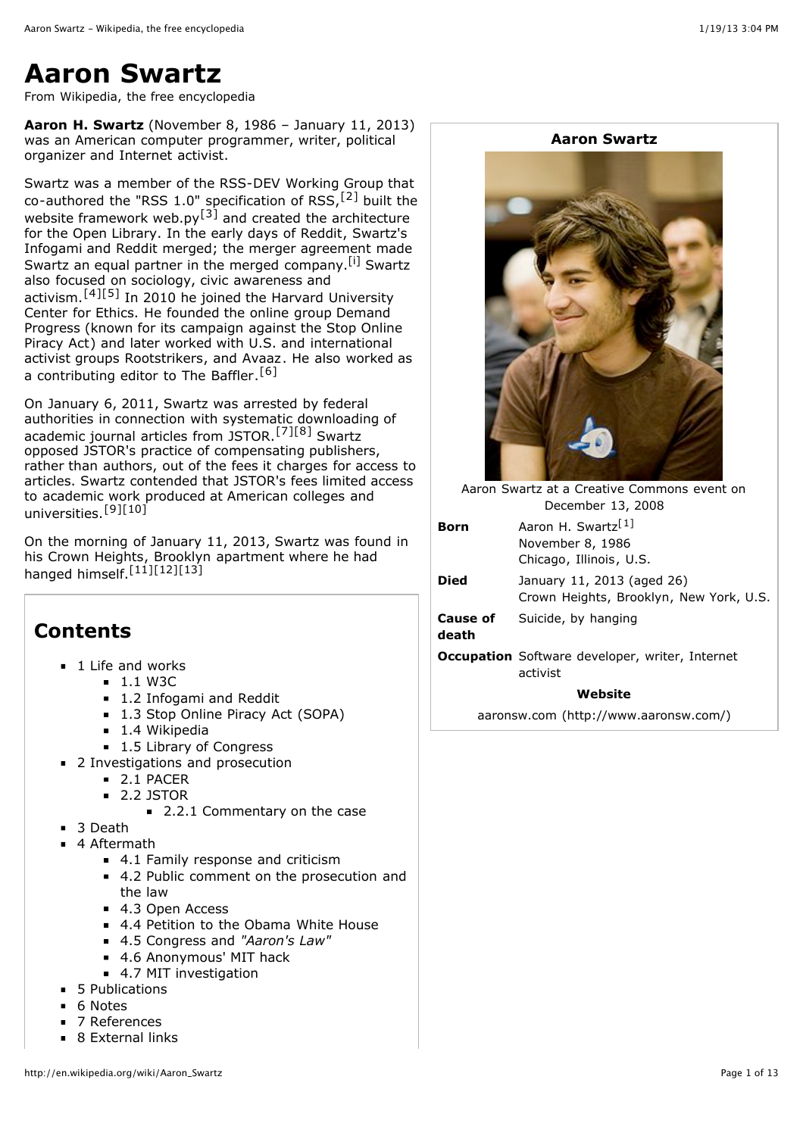# **Aaron Swartz**

From Wikipedia, the free encyclopedia

**Aaron H. Swartz** (November 8, 1986 – January 11, 2013) was an [American](http://en.wikipedia.org/wiki/United_States) computer programmer, writer, political organizer and [Internet](http://en.wikipedia.org/wiki/Hacktivism) activist.

Swartz was a member of the [RSS-DEV](http://en.wikipedia.org/wiki/RSS-DEV_Working_Group) Working Group that co-authored the "[RSS](http://en.wikipedia.org/wiki/RSS) 1.0" specification of RSS,<sup>[\[2\]](http://en.wikipedia.org/wiki/Aaron_Swartz#cite_note-2)</sup> built the website framework web.py<sup>[\[3\]](http://en.wikipedia.org/wiki/Aaron_Swartz#cite_note-3)</sup> and created the architecture for the Open [Library](http://en.wikipedia.org/wiki/Open_Library). In the early days of [Reddit,](http://en.wikipedia.org/wiki/Reddit) Swartz's [Infogami](http://en.wikipedia.org/wiki/Infogami) and Reddit merged; the merger agreement made Swartz an equal partner in the merged company.<sup>[\[i\]](http://en.wikipedia.org/wiki/Aaron_Swartz#endnote_merger)</sup> Swartz also focused on sociology, civic awareness and activism.[\[4\]](http://en.wikipedia.org/wiki/Aaron_Swartz#cite_note-4)[\[5\]](http://en.wikipedia.org/wiki/Aaron_Swartz#cite_note-5) In 2010 he joined the Harvard [University](http://en.wikipedia.org/wiki/Harvard_University) Center for Ethics. He founded the online group Demand Progress (known for its [campaign](http://en.wikipedia.org/wiki/Demand_Progress) against the Stop Online Piracy Act) and later worked with U.S. and [international](http://en.wikipedia.org/wiki/Stop_Online_Piracy_Act) activist groups [Rootstrikers,](http://en.wikipedia.org/wiki/Rootstrikers) and [Avaaz](http://en.wikipedia.org/wiki/Avaaz). He also worked as a contributing editor to The [Baffler](http://en.wikipedia.org/wiki/The_Baffler).<sup>[\[6\]](http://en.wikipedia.org/wiki/Aaron_Swartz#cite_note-6)</sup>

On January 6, 2011, Swartz was arrested by federal authorities in connection with systematic downloading of [academic](http://en.wikipedia.org/wiki/Academic_journal) journal articles from [JSTOR](http://en.wikipedia.org/wiki/JSTOR). [\[7\]](http://en.wikipedia.org/wiki/Aaron_Swartz#cite_note-2011-tech-7)[\[8\]](http://en.wikipedia.org/wiki/Aaron_Swartz#cite_note-2011-poblotter-8) Swartz opposed JSTOR's practice of compensating publishers, rather than authors, out of the fees it charges for access to articles. Swartz contended that JSTOR's fees limited access to academic work produced at American colleges and universities.<sup>[\[9\]](http://en.wikipedia.org/wiki/Aaron_Swartz#cite_note-9)[\[10\]](http://en.wikipedia.org/wiki/Aaron_Swartz#cite_note-10)</sup>

On the morning of January 11, 2013, Swartz was found in his Crown [Heights,](http://en.wikipedia.org/wiki/Crown_Heights,_Brooklyn) [Brooklyn](http://en.wikipedia.org/wiki/Brooklyn) apartment where he had hanged himself.<sup>[\[11\]](http://en.wikipedia.org/wiki/Aaron_Swartz#cite_note-11)[\[12\]](http://en.wikipedia.org/wiki/Aaron_Swartz#cite_note-12)[\[13\]](http://en.wikipedia.org/wiki/Aaron_Swartz#cite_note-Time-13)</sup>

# **Contents**

- 1 Life and [works](http://en.wikipedia.org/wiki/Aaron_Swartz#Life_and_works)
	- $-1.1$  [W3C](http://en.wikipedia.org/wiki/Aaron_Swartz#W3C)
	- 1.2 [Infogami](http://en.wikipedia.org/wiki/Aaron_Swartz#Infogami_and_Reddit) and Reddit
	- 1.3 Stop Online Piracy Act [\(SOPA\)](http://en.wikipedia.org/wiki/Aaron_Swartz#Stop_Online_Piracy_Act_.28SOPA.29)
	- 1.4 [Wikipedia](http://en.wikipedia.org/wiki/Aaron_Swartz#Wikipedia)
	- 1.5 [Library of](http://en.wikipedia.org/wiki/Aaron_Swartz#Library_of_Congress) Congress
- 2 [Investigations](http://en.wikipedia.org/wiki/Aaron_Swartz#Investigations_and_prosecution) and prosecution  $\blacksquare$ 
	- 2.1 [PACER](http://en.wikipedia.org/wiki/Aaron_Swartz#PACER)
	- 2.2 [JSTOR](http://en.wikipedia.org/wiki/Aaron_Swartz#JSTOR)
		- 2.2.1 [Commentary](http://en.wikipedia.org/wiki/Aaron_Swartz#Commentary_on_the_case) on the case
- **3** [Death](http://en.wikipedia.org/wiki/Aaron_Swartz#Death)
	- 4 [Aftermath](http://en.wikipedia.org/wiki/Aaron_Swartz#Aftermath)
		- 4.1 Family [response](http://en.wikipedia.org/wiki/Aaron_Swartz#Family_response_and_criticism) and criticism
		- 4.2 Public comment on the [prosecution](http://en.wikipedia.org/wiki/Aaron_Swartz#Public_comment_on_the_prosecution_and_the_law) and the law
		- 4.3 Open [Access](http://en.wikipedia.org/wiki/Aaron_Swartz#Open_Access)
		- 4.4 [Petition](http://en.wikipedia.org/wiki/Aaron_Swartz#Petition_to_the_Obama_White_House) to the Obama White House
		- 4.5 [Congress](http://en.wikipedia.org/wiki/Aaron_Swartz#Congress_and_.22Aaron.27s_Law.22) and *"Aaron's Law"*
		- 4.6 [Anonymous'](http://en.wikipedia.org/wiki/Aaron_Swartz#Anonymous.27_MIT_hack) MIT hack
		- 4.7 MIT [investigation](http://en.wikipedia.org/wiki/Aaron_Swartz#MIT_investigation)
- 5 [Publications](http://en.wikipedia.org/wiki/Aaron_Swartz#Publications)
- 6 [Notes](http://en.wikipedia.org/wiki/Aaron_Swartz#Notes)
- 7 [References](http://en.wikipedia.org/wiki/Aaron_Swartz#References)
- 8 [External](http://en.wikipedia.org/wiki/Aaron_Swartz#External_links) links





Aaron Swartz at a Creative [Commons](http://en.wikipedia.org/wiki/Creative_Commons) event on December 13, 2008

| <b>Born</b>              | Aaron H. Swartz <sup>[1]</sup><br>November 8, 1986<br>Chicago, Illinois, U.S. |
|--------------------------|-------------------------------------------------------------------------------|
| <b>Died</b>              | January 11, 2013 (aged 26)<br>Crown Heights, Brooklyn, New York, U.S.         |
| <b>Cause of</b><br>death | Suicide, by hanging                                                           |
|                          | 1922 - Cafferrana darialagan multan Tutanca                                   |

**Occupation** Software [developer,](http://en.wikipedia.org/wiki/Hacktivism) writer, Internet activist

#### **Website**

aaronsw.com [\(http://www.aaronsw.com/\)](http://www.aaronsw.com/)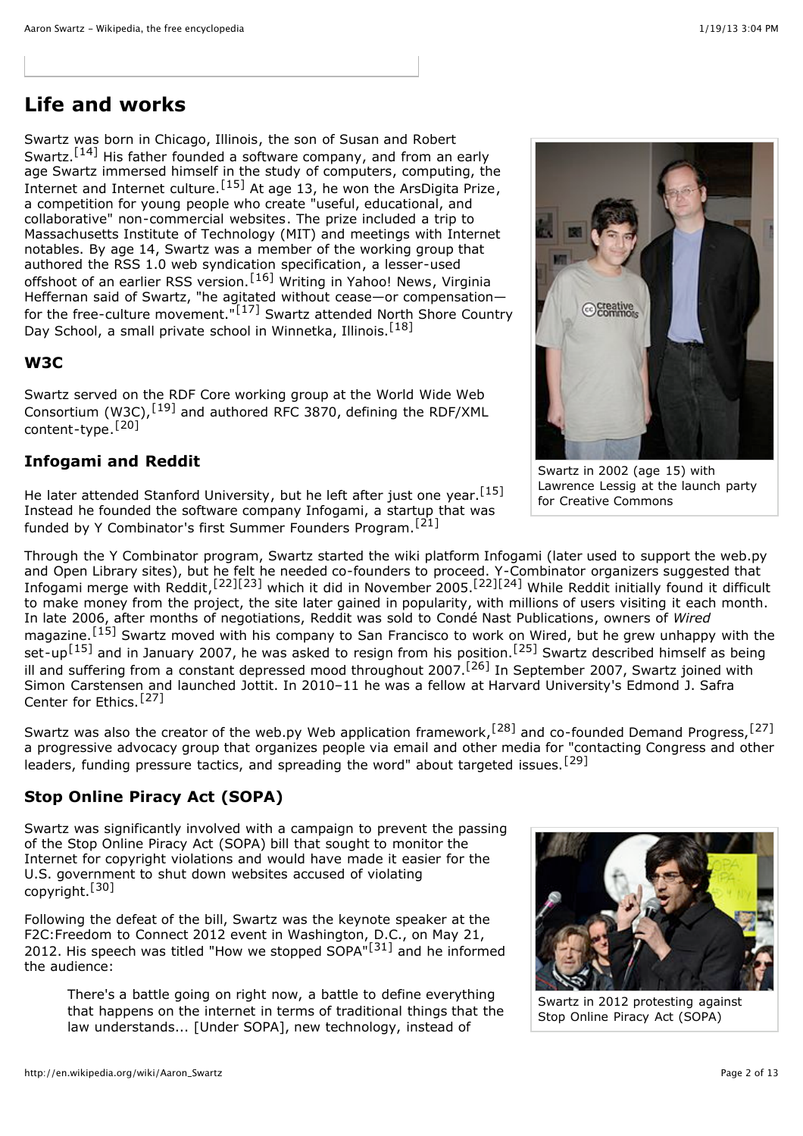## **Life and works**

Swartz was born in [Chicago,](http://en.wikipedia.org/wiki/Chicago,_Illinois) Illinois, the son of Susan and Robert Swartz.<sup>[\[14\]](http://en.wikipedia.org/wiki/Aaron_Swartz#cite_note-14)</sup> His father founded a software [company](http://en.wikipedia.org/wiki/Mark_Williams_Company), and from an early age Swartz immersed himself in the study of [computers,](http://en.wikipedia.org/wiki/Computer) computing, the [Internet](http://en.wikipedia.org/wiki/Cyberculture) and Internet culture.<sup>[\[15\]](http://en.wikipedia.org/wiki/Aaron_Swartz#cite_note-Life_Story-15)</sup> At age 13, he won the [ArsDigita](http://en.wikipedia.org/wiki/ArsDigita_Prize) Prize, a competition for young people who create "useful, educational, and collaborative" non-commercial [websites](http://en.wikipedia.org/wiki/Website). The prize included a trip to [Massachusetts](http://en.wikipedia.org/wiki/Massachusetts_Institute_of_Technology) Institute of Technology (MIT) and meetings with Internet notables. By age 14, Swartz was a member of the [working](http://en.wikipedia.org/wiki/Working_group) group that authored the [RSS](http://en.wikipedia.org/wiki/RSS) 1.0 web [syndication](http://en.wikipedia.org/wiki/Web_syndication) [specification](http://en.wikipedia.org/wiki/Formal_specification), a lesser-used offshoot of an earlier RSS version.<sup>[\[16\]](http://en.wikipedia.org/wiki/Aaron_Swartz#cite_note-16)</sup> Writing in [Yahoo!](http://en.wikipedia.org/wiki/Yahoo!_News) News, Virginia Heffernan said of Swartz, "he agitated without cease—or [compensation](http://en.wikipedia.org/wiki/Virginia_Heffernan) for the free-culture [movement."](http://en.wikipedia.org/wiki/North_Shore_Country_Day_School)<sup>[\[17\]](http://en.wikipedia.org/wiki/Aaron_Swartz#cite_note-17)</sup> Swartz attended North Shore Country Day School, a small private school in Winnetka, Illinois.<sup>[\[18\]](http://en.wikipedia.org/wiki/Aaron_Swartz#cite_note-18)</sup>

### **W3C**

Swartz served on the [RDF](http://en.wikipedia.org/wiki/Resource_Description_Framework) Core working group at the World Wide Web [Consortium](http://en.wikipedia.org/wiki/World_Wide_Web_Consortium) (W3C),  $^{[19]}$  $^{[19]}$  $^{[19]}$  and authored [RFC](http://en.wikipedia.org/wiki/Request_for_Comments) 3870, defining the [RDF/XML](http://en.wikipedia.org/wiki/RDF/XML) [content-type](http://en.wikipedia.org/wiki/Content-type).[\[20\]](http://en.wikipedia.org/wiki/Aaron_Swartz#cite_note-20)

### **Infogami and Reddit**

He later attended Stanford [University](http://en.wikipedia.org/wiki/Stanford_University), but he left after just one year.<sup>[\[15\]](http://en.wikipedia.org/wiki/Aaron_Swartz#cite_note-Life_Story-15)</sup> Instead he founded the software company Infogami, a [startup](http://en.wikipedia.org/wiki/Startup_company) that was funded by Y [Combinator](http://en.wikipedia.org/wiki/Y_Combinator_(company))'s first Summer Founders Program.<sup>[\[21\]](http://en.wikipedia.org/wiki/Aaron_Swartz#cite_note-wired-21)</sup>

Through the Y Combinator program, Swartz started the wiki platform Infogami (later used to support the web.py and Open [Library](http://en.wikipedia.org/wiki/Open_Library) sites), but he felt he needed co-founders to proceed. Y-Combinator organizers suggested that Infogami merge with [Reddit,](http://en.wikipedia.org/wiki/Reddit)<sup>[\[22\]](http://en.wikipedia.org/wiki/Aaron_Swartz#cite_note-infogami2007-22)[\[23\]](http://en.wikipedia.org/wiki/Aaron_Swartz#cite_note-startup-23)</sup> which it did in November 2005.<sup>[22][\[24\]](http://en.wikipedia.org/wiki/Aaron_Swartz#cite_note-Wired-arrest-24)</sup> While Reddit initially found it difficult to make money from the project, the site later gained in popularity, with millions of users visiting it each month. In late 2006, after months of negotiations, Reddit was sold to Condé Nast [Publications](http://en.wikipedia.org/wiki/Cond%C3%A9_Nast_Publications), owners of *[Wired](http://en.wikipedia.org/wiki/Wired_(magazine))* magazine.<sup>[\[15\]](http://en.wikipedia.org/wiki/Aaron_Swartz#cite_note-Life_Story-15)</sup> Swartz moved with his company to San Francisco to work on Wired, but he grew unhappy with the set-up<sup>[\[15\]](http://en.wikipedia.org/wiki/Aaron_Swartz#cite_note-Life_Story-15)</sup> and in January 2007, he was asked to resign from his position.<sup>[\[25\]](http://en.wikipedia.org/wiki/Aaron_Swartz#cite_note-A_Chat_with_Aaron_Swartz-25)</sup> Swartz described himself as being ill and suffering from a constant depressed mood throughout 2007.[\[26\]](http://en.wikipedia.org/wiki/Aaron_Swartz#cite_note-26) In September 2007, Swartz joined with Simon Carstensen and launched Jottit. In 2010–11 he was a [fellow](http://en.wikipedia.org/wiki/Research_fellow) at Harvard [University](http://en.wikipedia.org/wiki/Harvard_University)'s [Edmond](http://en.wikipedia.org/wiki/Edmond_Safra) J. Safra Center for Ethics.[\[27\]](http://en.wikipedia.org/wiki/Aaron_Swartz#cite_note-ibt-27)

Swartz was also the creator of the web.py Web [application](http://en.wikipedia.org/wiki/Web_application_framework) framework,<sup>[\[28\]](http://en.wikipedia.org/wiki/Aaron_Swartz#cite_note-infowo-28)</sup> and co-founded Demand Progress,<sup>[\[27\]](http://en.wikipedia.org/wiki/Aaron_Swartz#cite_note-ibt-27)</sup> a progressive advocacy group that organizes people via email and other media for "contacting Congress and other leaders, funding pressure tactics, and spreading the word" about targeted issues.[\[29\]](http://en.wikipedia.org/wiki/Aaron_Swartz#cite_note-29)

### **Stop Online Piracy Act (SOPA)**

Swartz was significantly involved with a campaign to prevent the passing of the Stop [Online](http://en.wikipedia.org/wiki/Stop_Online_Piracy_Act) Piracy Act (SOPA) bill that sought to monitor the Internet for copyright violations and would have made it easier for the U.S. government to shut down websites accused of violating copyright.[\[30\]](http://en.wikipedia.org/wiki/Aaron_Swartz#cite_note-stuff1-30)

Following the defeat of the bill, Swartz was the keynote speaker at the F2C:Freedom to Connect 2012 event in Washington, D.C., on May 21, 2012. His speech was titled "How we stopped SOPA"<sup>[\[31\]](http://en.wikipedia.org/wiki/Aaron_Swartz#cite_note-F2c2-31)</sup> and he informed the audience:

There's a battle going on right now, a battle to define everything that happens on the internet in terms of traditional things that the law understands... [Under SOPA], new technology, instead of



Swartz in 2002 (age 15) with [Lawrence](http://en.wikipedia.org/wiki/Lawrence_Lessig) Lessig at the launch party for Creative [Commons](http://en.wikipedia.org/wiki/Creative_Commons)



Swartz in 2012 protesting against Stop [Online](http://en.wikipedia.org/wiki/Stop_Online_Piracy_Act) Piracy Act (SOPA)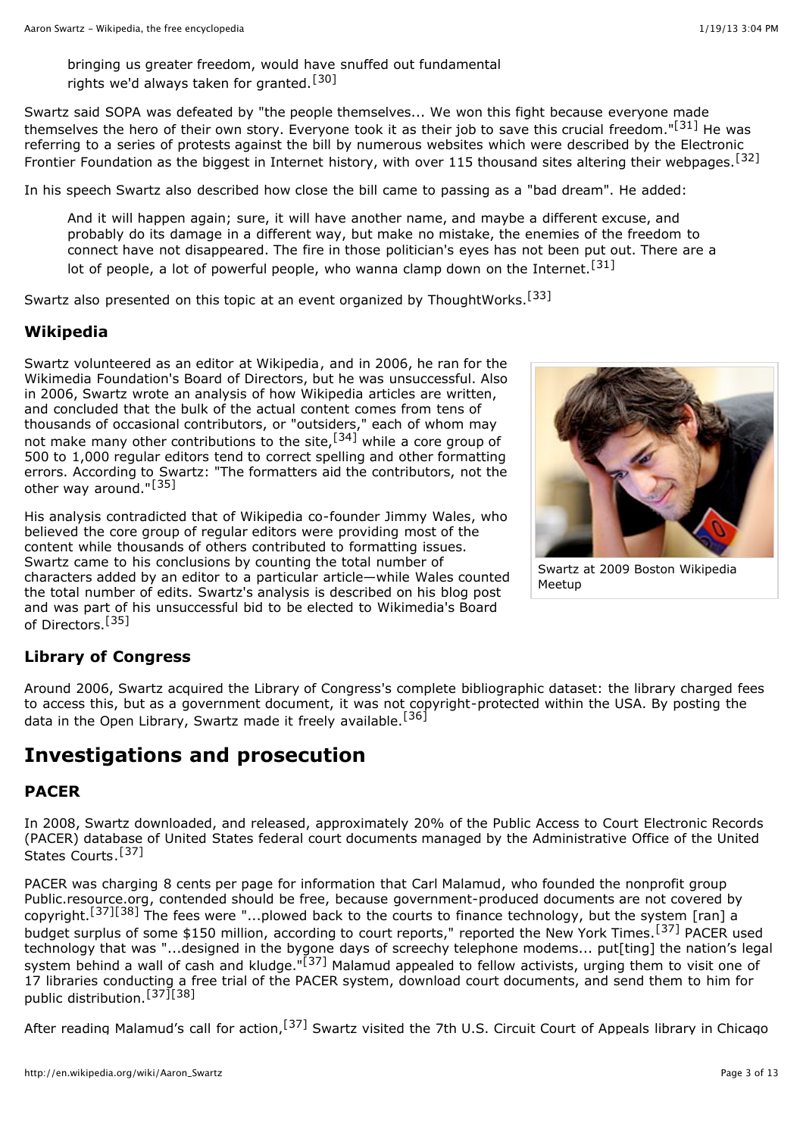bringing us greater freedom, would have snuffed out fundamental rights we'd always taken for granted.<sup>[\[30\]](http://en.wikipedia.org/wiki/Aaron_Swartz#cite_note-stuff1-30)</sup>

Swartz said SOPA was defeated by "the people themselves... We won this fight because everyone made themselves the hero of their own story. Everyone took it as their job to save this crucial freedom."<sup>[\[31\]](http://en.wikipedia.org/wiki/Aaron_Swartz#cite_note-F2c2-31)</sup> He was referring to a series of protests against the bill by numerous websites which were described by the Electronic Frontier [Foundation](http://en.wikipedia.org/wiki/Electronic_Frontier_Foundation) as the biggest in Internet history, with over 115 thousand sites altering their webpages.<sup>[\[32\]](http://en.wikipedia.org/wiki/Aaron_Swartz#cite_note-32)</sup>

In his speech Swartz also described how close the bill came to passing as a "bad dream". He added:

And it will happen again; sure, it will have another name, and maybe a different excuse, and probably do its damage in a different way, but make no mistake, the enemies of the freedom to connect have not disappeared. The fire in those politician's eyes has not been put out. There are a lot of people, a lot of powerful people, who wanna clamp down on the Internet.<sup>[\[31\]](http://en.wikipedia.org/wiki/Aaron_Swartz#cite_note-F2c2-31)</sup>

Swartz also presented on this topic at an event organized by ThoughtWorks.<sup>[\[33\]](http://en.wikipedia.org/wiki/Aaron_Swartz#cite_note-33)</sup>

### **Wikipedia**

Swartz volunteered as an editor at [Wikipedia](http://en.wikipedia.org/wiki/Wikipedia), and in 2006, he ran for the Wikimedia [Foundation's](http://en.wikipedia.org/wiki/Wikimedia_Foundation) Board of Directors, but he was unsuccessful. Also in 2006, Swartz wrote an analysis of how Wikipedia articles are written, and concluded that the bulk of the actual content comes from tens of thousands of occasional contributors, or "outsiders," each of whom may not make many other contributions to the site,<sup>[\[34\]](http://en.wikipedia.org/wiki/Aaron_Swartz#cite_note-34)</sup> while a core group of 500 to 1,000 regular editors tend to correct spelling and other formatting errors. According to Swartz: "The formatters aid the contributors, not the other way around."<sup>[\[35\]](http://en.wikipedia.org/wiki/Aaron_Swartz#cite_note-whowriteswikipedia-35)</sup>

His analysis contradicted that of Wikipedia co-founder [Jimmy](http://en.wikipedia.org/wiki/Jimmy_Wales) Wales, who believed the core group of regular editors were providing most of the content while thousands of others contributed to formatting issues. Swartz came to his conclusions by counting the total number of characters added by an editor to a particular article—while Wales counted the total number of edits. Swartz's analysis is described on his blog post and was part of his unsuccessful bid to be elected to Wikimedia's Board of Directors.<sup>[\[35\]](http://en.wikipedia.org/wiki/Aaron_Swartz#cite_note-whowriteswikipedia-35)</sup>



Swartz at 2009 Boston Wikipedia Meetup

### **Library of Congress**

Around 2006, Swartz acquired the [Library of](http://en.wikipedia.org/wiki/Library_of_Congress) Congress's complete bibliographic dataset: the library charged fees to access this, but as a government document, it was not copyright-protected within the USA. By posting the data in the Open [Library](http://en.wikipedia.org/wiki/Open_Library), Swartz made it freely available.<sup>[\[36\]](http://en.wikipedia.org/wiki/Aaron_Swartz#cite_note-36)</sup>

## **Investigations and prosecution**

### **PACER**

In 2008, Swartz downloaded, and released, approximately 20% of the Public Access to Court Electronic Records [\(PACER\)](http://en.wikipedia.org/wiki/PACER_(law)) database of United States [federal](http://en.wikipedia.org/wiki/United_States_federal_courts) court [documents managed](http://en.wikipedia.org/wiki/Administrative_Office_of_the_United_States_Courts) by the Administrative Office of the United States Courts.<sup>[\[37\]](http://en.wikipedia.org/wiki/Aaron_Swartz#cite_note-Schwartz2009-37)</sup>

PACER was charging 8 cents per page for information that [Carl Malamud](http://en.wikipedia.org/wiki/Carl_Malamud), who founded the nonprofit group [Public.resource.org,](http://en.wikipedia.org/wiki/Public.resource.org) contended should be free, because government-produced documents are not covered by copyright.[\[37\]](http://en.wikipedia.org/wiki/Aaron_Swartz#cite_note-Schwartz2009-37)[\[38\]](http://en.wikipedia.org/wiki/Aaron_Swartz#cite_note-Singel2009-38) The fees were "...plowed back to the courts to finance technology, but the system [ran] a budget surplus of some \$150 million, according to court reports," reported the New York [Times.](http://en.wikipedia.org/wiki/New_York_Times)<sup>[\[37\]](http://en.wikipedia.org/wiki/Aaron_Swartz#cite_note-Schwartz2009-37)</sup> PACER used technology that was "...designed in the bygone days of screechy telephone modems... put[ting] the nation's legal system behind a wall of cash and kludge."<sup>[\[37\]](http://en.wikipedia.org/wiki/Aaron_Swartz#cite_note-Schwartz2009-37)</sup> Malamud appealed to fellow activists, urging them to visit one of 17 libraries conducting a free trial of the PACER system, download court documents, and send them to him for public distribution.[\[37\]](http://en.wikipedia.org/wiki/Aaron_Swartz#cite_note-Schwartz2009-37)[\[38\]](http://en.wikipedia.org/wiki/Aaron_Swartz#cite_note-Singel2009-38)

After reading Malamud's call for action, <sup>[\[37\]](http://en.wikipedia.org/wiki/Aaron_Swartz#cite_note-Schwartz2009-37)</sup> Swartz visited the 7th U.S. Circuit Court of [Appeals](http://en.wikipedia.org/wiki/7th_U.S._Circuit_Court_of_Appeals) library in Chicago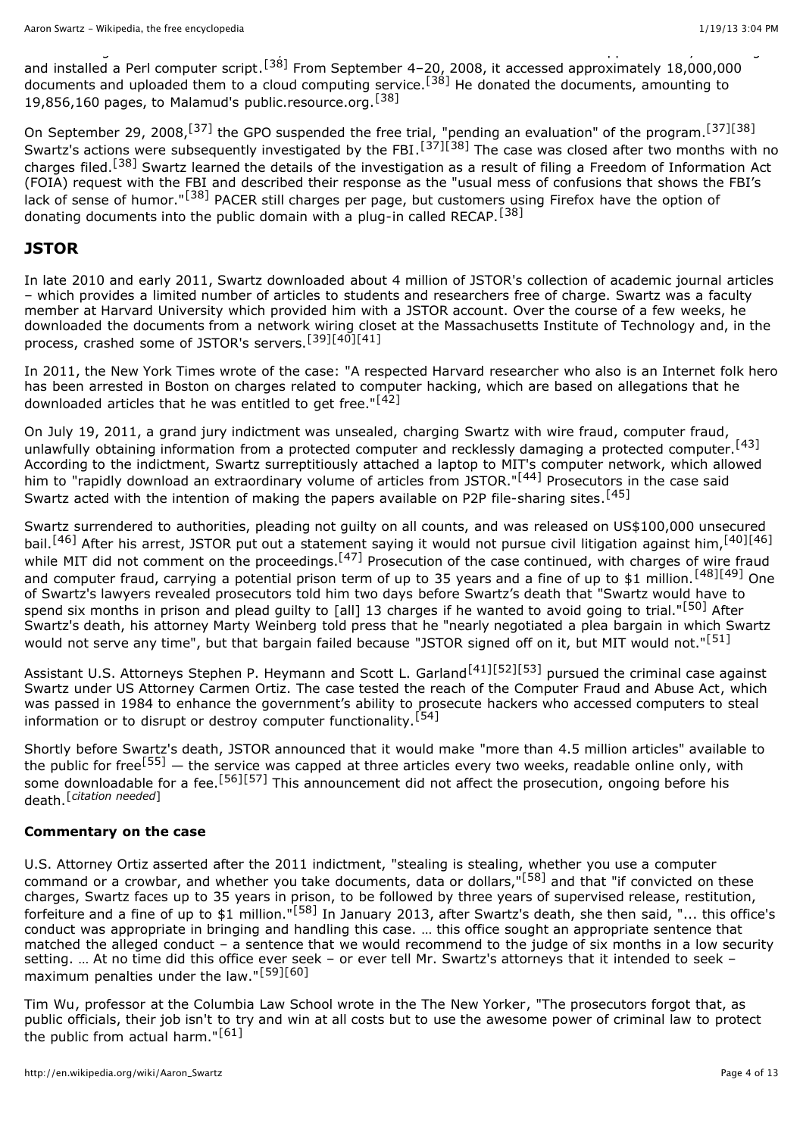and installed a Perl [computer](http://en.wikipedia.org/wiki/Scripting_language#General-purpose_dynamic_languages) script.<sup>[\[38\]](http://en.wikipedia.org/wiki/Aaron_Swartz#cite_note-Singel2009-38)</sup> From September 4-20, 2008, it accessed approximately 18,000,000 documents and uploaded them to a cloud [computing](http://en.wikipedia.org/wiki/Cloud_computing) service.<sup>[\[38\]](http://en.wikipedia.org/wiki/Aaron_Swartz#cite_note-Singel2009-38)</sup> He donated the documents, amounting to 19,856,160 pages, to Malamud's public.resource.org.[\[38\]](http://en.wikipedia.org/wiki/Aaron_Swartz#cite_note-Singel2009-38)

After reading Malamud's call for action, Swartz visited the 7th U.S. Circuit Court of [Appeals](http://en.wikipedia.org/wiki/7th_U.S._Circuit_Court_of_Appeals) library in Chicago

On September 29, 2008,<sup>[\[37\]](http://en.wikipedia.org/wiki/Aaron_Swartz#cite_note-Schwartz2009-37)</sup> the [GPO](http://en.wikipedia.org/wiki/United_States_Government_Printing_Office) suspended the free trial, "pending an evaluation" of the program.<sup>[37][\[38\]](http://en.wikipedia.org/wiki/Aaron_Swartz#cite_note-Singel2009-38)</sup> Swartz's actions were subsequently investigated by the [FBI](http://en.wikipedia.org/wiki/Federal_Bureau_of_Investigation).<sup>[\[37\]](http://en.wikipedia.org/wiki/Aaron_Swartz#cite_note-Schwartz2009-37)[\[38\]](http://en.wikipedia.org/wiki/Aaron_Swartz#cite_note-Singel2009-38)</sup> The case was closed after two months with no charges filed.[\[38\]](http://en.wikipedia.org/wiki/Aaron_Swartz#cite_note-Singel2009-38) Swartz learned the details of the investigation as a result of filing a Freedom of [Information](http://en.wikipedia.org/wiki/Freedom_of_Information_Act) Act (FOIA) request with the FBI and described their response as the "usual mess of confusions that shows the FBI's lack of sense of humor."<sup>[\[38\]](http://en.wikipedia.org/wiki/Aaron_Swartz#cite_note-Singel2009-38)</sup> PACER still charges per page, but customers using [Firefox](http://en.wikipedia.org/wiki/Firefox) have the option of donating documents into the public domain with a plug-in called RECAP.[\[38\]](http://en.wikipedia.org/wiki/Aaron_Swartz#cite_note-Singel2009-38)

#### **JSTOR**

In late 2010 and early 2011, Swartz downloaded about 4 million of [JSTOR](http://en.wikipedia.org/wiki/JSTOR)'s collection of [academic](http://en.wikipedia.org/wiki/Academic_journal) journal articles – which provides a limited number of articles to students and researchers free of charge. Swartz was a faculty member at Harvard [University](http://en.wikipedia.org/wiki/Harvard_University) which provided him with a JSTOR account. Over the course of a few weeks, he downloaded the documents from a network wiring closet at the [Massachusetts](http://en.wikipedia.org/wiki/Massachusetts_Institute_of_Technology) Institute of Technology and, in the process, crashed some of JSTOR's servers.[\[39\]](http://en.wikipedia.org/wiki/Aaron_Swartz#cite_note-39)[\[40\]](http://en.wikipedia.org/wiki/Aaron_Swartz#cite_note-jstor-statement-40)[\[41\]](http://en.wikipedia.org/wiki/Aaron_Swartz#cite_note-HuffPost_20130112-41)

In 2011, the New York Times wrote of the case: "A respected Harvard researcher who also is an Internet folk hero has been arrested in Boston on charges related to computer hacking, which are based on allegations that he downloaded articles that he was entitled to get free."<sup>[\[42\]](http://en.wikipedia.org/wiki/Aaron_Swartz#cite_note-42)</sup>

On July 19, 2011, a [grand](http://en.wikipedia.org/wiki/Grand_jury) jury indictment was unsealed, charging Swartz with wire [fraud,](http://en.wikipedia.org/wiki/Wire_fraud) [computer](http://en.wikipedia.org/wiki/Computer_fraud) fraud, unlawfully obtaining information from a protected [computer](http://en.wikipedia.org/wiki/Protected_computer) and recklessly damaging a protected computer.<sup>[\[43\]](http://en.wikipedia.org/wiki/Aaron_Swartz#cite_note-Internet_Activist_Charged_in_Data_Theft-43)</sup> According to the indictment, Swartz surreptitiously attached a laptop to MIT's computer network, which allowed him to "rapidly download an extraordinary volume of articles from JSTOR."<sup>[\[44\]](http://en.wikipedia.org/wiki/Aaron_Swartz#cite_note-CB1-44)</sup> Prosecutors in the case said Swartz acted with the intention of making the papers available on P2P [file-sharing](http://en.wikipedia.org/wiki/Peer-to-peer_file_sharing) sites.<sup>[\[45\]](http://en.wikipedia.org/wiki/Aaron_Swartz#cite_note-Feds:_Harvard_fellow_hacked_millions_of_papers-45)</sup>

Swartz surrendered to authorities, pleading not guilty on all counts, and was released on US\$100,000 unsecured bail.<sup>[\[46\]](http://en.wikipedia.org/wiki/Aaron_Swartz#cite_note-open-access-adv-46)</sup> After his arrest, JSTOR put out a statement saying it would not pursue civil litigation against him,<sup>[\[40\]](http://en.wikipedia.org/wiki/Aaron_Swartz#cite_note-jstor-statement-40)[46]</sup> while MIT did not comment on the proceedings.<sup>[\[47\]](http://en.wikipedia.org/wiki/Aaron_Swartz#cite_note-Lessig_20130113-47)</sup> Prosecution of the case continued, with charges of wire fraud and computer fraud, carrying a potential prison term of up to 35 years and a fine of up to \$1 million.<sup>[\[48\]](http://en.wikipedia.org/wiki/Aaron_Swartz#cite_note-crln-48)[\[49\]](http://en.wikipedia.org/wiki/Aaron_Swartz#cite_note-techdirt-49)</sup> One of Swartz's lawyers revealed prosecutors told him two days before Swartz's death that "Swartz would have to spend six months in prison and plead guilty to [all] 13 charges if he wanted to avoid going to trial."<sup>[\[50\]](http://en.wikipedia.org/wiki/Aaron_Swartz#cite_note-Post_20130113-50)</sup> After Swartz's death, his attorney Marty Weinberg told press that he "nearly negotiated a plea bargain in which Swartz would not serve any time", but that bargain failed because "JSTOR signed off on it, but MIT would not."<sup>[\[51\]](http://en.wikipedia.org/wiki/Aaron_Swartz#cite_note-51)</sup>

Assistant U.S. Attorneys Stephen P. [Heymann](http://en.wikipedia.org/wiki/Stephen_Heymann) and Scott L. Garland<sup>[\[41\]](http://en.wikipedia.org/wiki/Aaron_Swartz#cite_note-HuffPost_20130112-41)[\[52\]](http://en.wikipedia.org/wiki/Aaron_Swartz#cite_note-Wired_20130113-52)[\[53\]](http://en.wikipedia.org/wiki/Aaron_Swartz#cite_note-53)</sup> pursued the criminal case against Swartz under US Attorney Carmen Ortiz. The case tested the reach of the [Computer](http://en.wikipedia.org/wiki/Computer_Fraud_and_Abuse_Act) Fraud and Abuse Act, which was passed in 1984 to enhance the government's ability to prosecute hackers who accessed computers to steal information or to disrupt or destroy computer functionality.<sup>[\[54\]](http://en.wikipedia.org/wiki/Aaron_Swartz#cite_note-54)</sup>

Shortly before Swartz's death, [JSTOR](http://en.wikipedia.org/wiki/JSTOR) announced that it would make "more than 4.5 million articles" available to the public for free<sup>[\[55\]](http://en.wikipedia.org/wiki/Aaron_Swartz#cite_note-55)</sup> — the service was capped at three articles every two weeks, readable online only, with some downloadable for a fee.<sup>[\[56\]](http://en.wikipedia.org/wiki/Aaron_Swartz#cite_note-LibraryJournal-56)[\[57\]](http://en.wikipedia.org/wiki/Aaron_Swartz#cite_note-JSTOR_RaR-57)</sup> This announcement did not affect the prosecution, ongoing before his death.[*[citation](http://en.wikipedia.org/wiki/Wikipedia:Citation_needed) needed*]

#### **Commentary on the case**

U.S. Attorney Ortiz asserted after the 2011 indictment, "stealing is stealing, whether you use a computer command or a crowbar, and whether you take documents, data or dollars,"[\[58\]](http://en.wikipedia.org/wiki/Aaron_Swartz#cite_note-SwartzAaronPR-58) and that "if convicted on these charges, Swartz faces up to 35 years in prison, to be followed by three years of supervised release, restitution, forfeiture and a fine of up to \$1 million."[\[58\]](http://en.wikipedia.org/wiki/Aaron_Swartz#cite_note-SwartzAaronPR-58) In January 2013, after Swartz's death, she then said, "... this office's conduct was appropriate in bringing and handling this case. … this office sought an appropriate sentence that matched the alleged conduct – a sentence that we would recommend to the judge of six months in a low security setting. … At no time did this office ever seek – or ever tell Mr. Swartz's attorneys that it intended to seek – maximum penalties under the law."[\[59\]](http://en.wikipedia.org/wiki/Aaron_Swartz#cite_note-59)[\[60\]](http://en.wikipedia.org/wiki/Aaron_Swartz#cite_note-Ortiz2013-60)

[Tim](http://en.wikipedia.org/wiki/Tim_Wu) Wu, professor at the [Columbia](http://en.wikipedia.org/wiki/Columbia_Law_School) Law School wrote in the The New [Yorker,](http://en.wikipedia.org/wiki/The_New_Yorker) "The prosecutors forgot that, as public officials, their job isn't to try and win at all costs but to use the awesome power of criminal law to protect the public from actual harm." $[61]$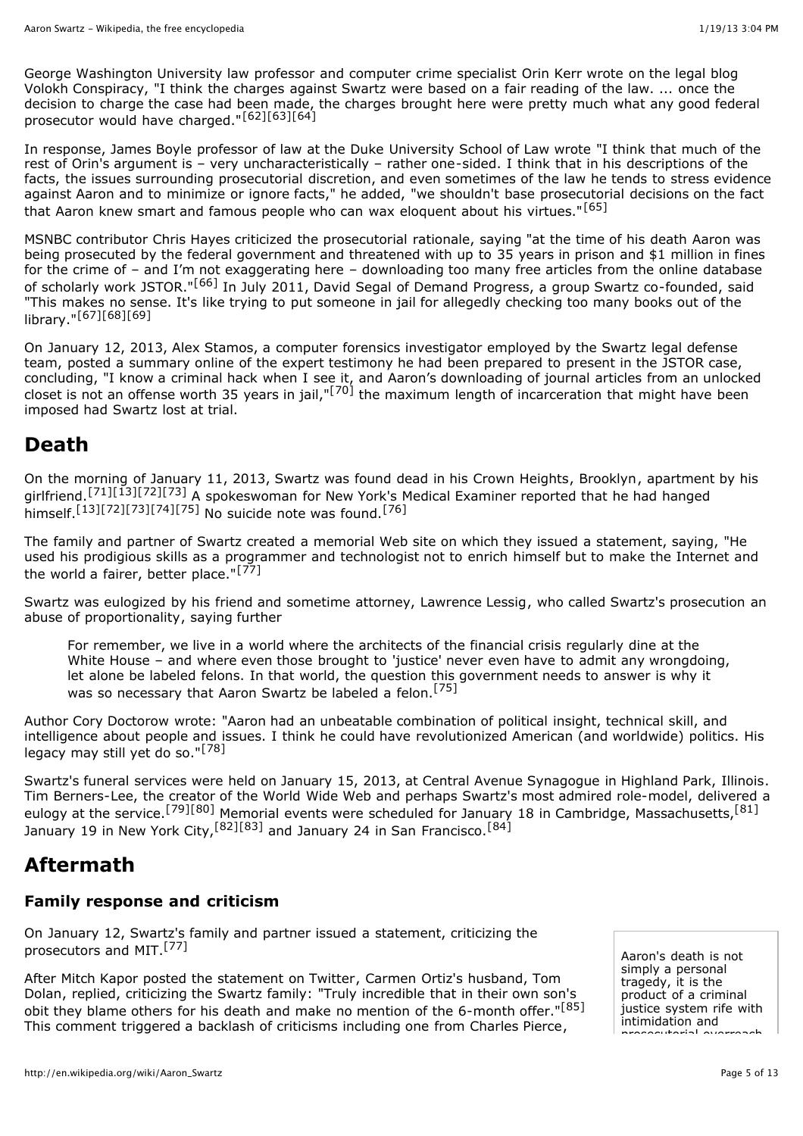George [Washington](http://en.wikipedia.org/wiki/George_Washington_University) University law professor and computer crime specialist Orin [Kerr](http://en.wikipedia.org/wiki/Orin_Kerr) wrote on the legal blog Volokh [Conspiracy,](http://en.wikipedia.org/wiki/Volokh_Conspiracy) "I think the charges against Swartz were based on a fair reading of the law. ... once the decision to charge the case had been made, the charges brought here were pretty much what any good federal prosecutor would have charged."[\[62\]](http://en.wikipedia.org/wiki/Aaron_Swartz#cite_note-62)[\[63\]](http://en.wikipedia.org/wiki/Aaron_Swartz#cite_note-63)[\[64\]](http://en.wikipedia.org/wiki/Aaron_Swartz#cite_note-64)

In response, [James](http://en.wikipedia.org/wiki/James_Boyle_(academic)) Boyle professor of law at the Duke [University](http://en.wikipedia.org/wiki/Duke_University_School_of_Law) School of Law wrote "I think that much of the rest of Orin's argument is – very uncharacteristically – rather one-sided. I think that in his descriptions of the facts, the issues surrounding prosecutorial discretion, and even sometimes of the law he tends to stress evidence against Aaron and to minimize or ignore facts," he added, "we shouldn't base prosecutorial decisions on the fact that Aaron knew smart and famous people who can wax eloquent about his virtues."[\[65\]](http://en.wikipedia.org/wiki/Aaron_Swartz#cite_note-65)

[MSNBC](http://en.wikipedia.org/wiki/MSNBC) contributor Chris [Hayes](http://en.wikipedia.org/wiki/Chris_Hayes_(journalist)) criticized the prosecutorial rationale, saying "at the time of his death Aaron was being prosecuted by the federal government and threatened with up to 35 years in prison and \$1 million in fines for the crime of – and I'm not exaggerating here – downloading too many free articles from the online database of scholarly work JSTOR."[\[66\]](http://en.wikipedia.org/wiki/Aaron_Swartz#cite_note-66) In July 2011, [David](http://en.wikipedia.org/wiki/David_Segal_(politician)) Segal of Demand [Progress](http://en.wikipedia.org/wiki/Demand_Progress), a group Swartz co-founded, said "This makes no sense. It's like trying to put someone in jail for allegedly checking too many books out of the library."[\[67\]](http://en.wikipedia.org/wiki/Aaron_Swartz#cite_note-67)[\[68\]](http://en.wikipedia.org/wiki/Aaron_Swartz#cite_note-68)[\[69\]](http://en.wikipedia.org/wiki/Aaron_Swartz#cite_note-69)

On January 12, 2013, Alex Stamos, a [computer](http://en.wikipedia.org/wiki/Computer_forensics) forensics investigator employed by the Swartz legal defense team, posted a summary online of the expert [testimony](http://en.wikipedia.org/wiki/Expert_witness) he had been prepared to present in the JSTOR case, concluding, "I know a criminal hack when I see it, and Aaron's downloading of journal articles from an unlocked closet is not an offense worth 35 years in jail,"<sup>[\[70\]](http://en.wikipedia.org/wiki/Aaron_Swartz#cite_note-70)</sup> the maximum length of incarceration that might have been imposed had Swartz lost at trial.

## **Death**

On the morning of January 11, 2013, Swartz was found dead in his Crown [Heights,](http://en.wikipedia.org/wiki/Crown_Heights,_Brooklyn) [Brooklyn](http://en.wikipedia.org/wiki/Brooklyn), apartment by his girlfriend.[\[71\]](http://en.wikipedia.org/wiki/Aaron_Swartz#cite_note-71)[\[13\]](http://en.wikipedia.org/wiki/Aaron_Swartz#cite_note-Time-13)[\[72\]](http://en.wikipedia.org/wiki/Aaron_Swartz#cite_note-NYDaily_20120112-72)[\[73\]](http://en.wikipedia.org/wiki/Aaron_Swartz#cite_note-CBS_20120112-73) A spokeswoman for New York's Medical [Examiner](http://en.wikipedia.org/wiki/Office_of_Chief_Medical_Examiner_of_the_City_of_New_York) reported that he had hanged himself.<sup>[\[13\]](http://en.wikipedia.org/wiki/Aaron_Swartz#cite_note-Time-13)[\[72\]](http://en.wikipedia.org/wiki/Aaron_Swartz#cite_note-NYDaily_20120112-72)[\[73\]](http://en.wikipedia.org/wiki/Aaron_Swartz#cite_note-CBS_20120112-73)[\[74\]](http://en.wikipedia.org/wiki/Aaron_Swartz#cite_note-NYT2013-74)[\[75\]](http://en.wikipedia.org/wiki/Aaron_Swartz#cite_note-lessig-obituary-75)</sup> No suicide note was found.<sup>[\[76\]](http://en.wikipedia.org/wiki/Aaron_Swartz#cite_note-76)</sup>

The family and partner of Swartz created a memorial Web site on which they issued a statement, saying, "He used his prodigious skills as a programmer and technologist not to enrich himself but to make the Internet and the world a fairer, better place."[\[77\]](http://en.wikipedia.org/wiki/Aaron_Swartz#cite_note-remember-77)

Swartz was eulogized by his friend and sometime attorney, [Lawrence](http://en.wikipedia.org/wiki/Lawrence_Lessig) Lessig, who called Swartz's prosecution an abuse of [proportionality,](http://en.wikipedia.org/wiki/Proportionality_(law)) saying further

For remember, we live in a world where the architects of the financial crisis regularly dine at the White House - and where even those brought to 'justice' never even have to admit any wrongdoing, let alone be labeled felons. In that world, the question this government needs to answer is why it was so necessary that Aaron Swartz be labeled a felon.<sup>[\[75\]](http://en.wikipedia.org/wiki/Aaron_Swartz#cite_note-lessig-obituary-75)</sup>

Author Cory [Doctorow](http://en.wikipedia.org/wiki/Cory_Doctorow) wrote: "Aaron had an unbeatable combination of political insight, technical skill, and intelligence about people and issues. I think he could have revolutionized American (and worldwide) politics. His legacy may still yet do so." $[78]$ 

Swartz's funeral services were held on January 15, 2013, at Central Avenue Synagogue in [Highland](http://en.wikipedia.org/wiki/Highland_Park,_Illinois) Park, Illinois. Tim [Berners-Lee,](http://en.wikipedia.org/wiki/Tim_Berners-Lee) the creator of the World Wide Web and perhaps Swartz's most admired role-model, delivered a eulogy at the service.<sup>[\[79\]](http://en.wikipedia.org/wiki/Aaron_Swartz#cite_note-79)[\[80\]](http://en.wikipedia.org/wiki/Aaron_Swartz#cite_note-80)</sup> Memorial events were scheduled for January 18 in Cambridge, Massachusetts,<sup>[\[81\]](http://en.wikipedia.org/wiki/Aaron_Swartz#cite_note-81)</sup> January 19 in New York City,  $[82][83]$  $[82][83]$  and January 24 in San Francisco.  $[84]$ 

# **Aftermath**

### **Family response and criticism**

On January 12, Swartz's family and partner issued a statement, criticizing the prosecutors and MIT.[\[77\]](http://en.wikipedia.org/wiki/Aaron_Swartz#cite_note-remember-77)

After Mitch [Kapor](http://en.wikipedia.org/wiki/Mitch_Kapor) posted the [statement](http://en.wikipedia.org/wiki/Thomas_J._Dolan) on [Twitter,](http://en.wikipedia.org/wiki/Twitter) Carmen Ortiz's husband, Tom Dolan, replied, criticizing the Swartz family: "Truly incredible that in their own son's obit they blame others for his death and make no mention of the 6-month offer."[\[85\]](http://en.wikipedia.org/wiki/Aaron_Swartz#cite_note-85) This comment triggered a backlash of criticisms including one from [Charles Pierce](http://en.wikipedia.org/wiki/Charles_Pierce),

Aaron's death is not simply a personal tragedy, it is the product of a criminal justice system rife with intimidation and prosecutorial overreach.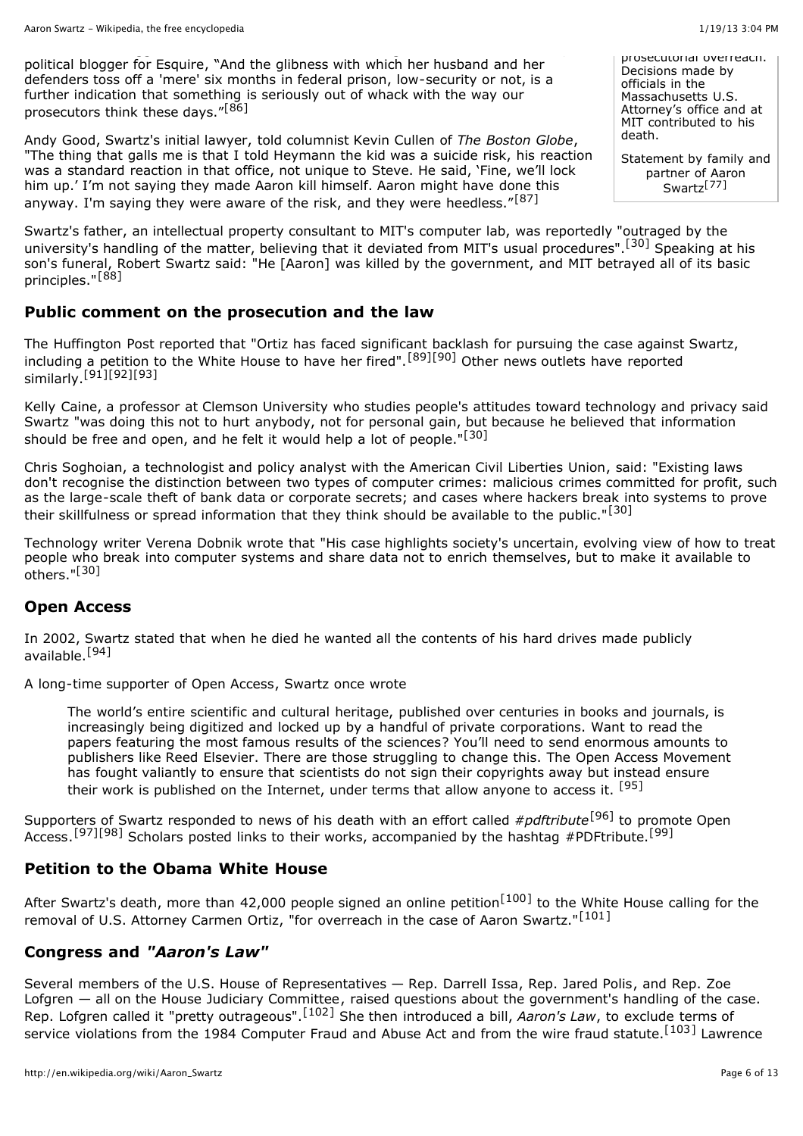political blogger for [Esquire,](http://en.wikipedia.org/wiki/Esquire) "And the glibness with which her husband and her defenders toss off a 'mere' six months in federal prison, low-security or not, is a further indication that something is seriously out of whack with the way our prosecutors think these days."[\[86\]](http://en.wikipedia.org/wiki/Aaron_Swartz#cite_note-86)

Andy Good, Swartz's initial lawyer, told columnist Kevin Cullen of *The [Boston](http://en.wikipedia.org/wiki/The_Boston_Globe) Globe*, "The thing that galls me is that I told Heymann the kid was a suicide risk, his reaction was a standard reaction in that office, not unique to Steve. He said, 'Fine, we'll lock him up.' I'm not saying they made Aaron kill himself. Aaron might have done this anyway. I'm saying they were aware of the risk, and they were heedless."[\[87\]](http://en.wikipedia.org/wiki/Aaron_Swartz#cite_note-87)

Swartz's father, an intellectual property consultant to MIT's computer lab, was reportedly "outraged by the university's handling of the matter, believing that it deviated from MIT's usual procedures".<sup>[\[30\]](http://en.wikipedia.org/wiki/Aaron_Swartz#cite_note-stuff1-30)</sup> Speaking at his son's funeral, Robert Swartz said: "He [Aaron] was killed by the government, and MIT betrayed all of its basic principles."[\[88\]](http://en.wikipedia.org/wiki/Aaron_Swartz#cite_note-LAT20130115-88)

### **Public comment on the prosecution and the law**

The Huffington Post reported that "Ortiz has faced significant backlash for pursuing the case against Swartz, including a petition to the White House to have her fired".<sup>[\[89\]](http://en.wikipedia.org/wiki/Aaron_Swartz#cite_note-89)[\[90\]](http://en.wikipedia.org/wiki/Aaron_Swartz#cite_note-90)</sup> Other news outlets have reported  $similarity.[91][92][93]$  $similarity.[91][92][93]$  $similarity.[91][92][93]$  $similarity.[91][92][93]$ 

Kelly Caine, a professor at Clemson [University](http://en.wikipedia.org/wiki/Clemson_University) who studies people's attitudes toward technology and privacy said Swartz "was doing this not to hurt anybody, not for personal gain, but because he believed that information should be free and open, and he felt it would help a lot of people."<sup>[\[30\]](http://en.wikipedia.org/wiki/Aaron_Swartz#cite_note-stuff1-30)</sup>

Chris [Soghoian,](http://en.wikipedia.org/wiki/Chris_Soghoian) a technologist and policy analyst with the [American](http://en.wikipedia.org/wiki/American_Civil_Liberties_Union) Civil Liberties Union, said: "Existing laws don't recognise the distinction between two types of computer crimes: malicious crimes committed for profit, such as the large-scale theft of bank data or corporate secrets; and cases where hackers break into systems to prove their skillfulness or spread information that they think should be available to the public."<sup>[\[30\]](http://en.wikipedia.org/wiki/Aaron_Swartz#cite_note-stuff1-30)</sup>

Technology writer Verena Dobnik wrote that "His case highlights society's uncertain, evolving view of how to treat people who break into computer systems and share data not to enrich themselves, but to make it available to  $others$ .["\[30\]](http://en.wikipedia.org/wiki/Aaron_Swartz#cite_note-stuff1-30)

### **Open Access**

In 2002, Swartz stated that when he died he wanted all the contents of his hard drives made publicly available.[\[94\]](http://en.wikipedia.org/wiki/Aaron_Swartz#cite_note-94)

A long-time supporter of Open [Access,](http://en.wikipedia.org/wiki/Open_Access) Swartz once wrote

The world's entire scientific and cultural heritage, published over centuries in books and journals, is increasingly being digitized and locked up by a handful of private corporations. Want to read the papers featuring the most famous results of the sciences? You'll need to send enormous amounts to publishers like Reed [Elsevier](http://en.wikipedia.org/wiki/Reed_Elsevier). There are those struggling to change this. The Open Access Movement has fought valiantly to ensure that scientists do not sign their copyrights away but instead ensure their work is published on the Internet, under terms that allow anyone to access it. [\[95\]](http://en.wikipedia.org/wiki/Aaron_Swartz#cite_note-95)

Supporters of Swartz responded to news of his death with an effort called *#pdftribute*[\[96\]](http://en.wikipedia.org/wiki/Aaron_Swartz#cite_note-96) to promote Open Access.<sup>[\[97\]](http://en.wikipedia.org/wiki/Aaron_Swartz#cite_note-97)[\[98\]](http://en.wikipedia.org/wiki/Aaron_Swartz#cite_note-98)</sup> Scholars posted links to their works, [accompanied](http://en.wikipedia.org/wiki/Open_Access) by the [hashtag](http://en.wikipedia.org/wiki/Hashtag) #PDFtribute.<sup>[\[99\]](http://en.wikipedia.org/wiki/Aaron_Swartz#cite_note-99)</sup>

### **Petition to the Obama White House**

After Swartz's death, more than 42,000 people signed an online petition<sup>[\[100\]](http://en.wikipedia.org/wiki/Aaron_Swartz#cite_note-100)</sup> to the White House calling for the removal of U.S. Attorney [Carmen](http://en.wikipedia.org/wiki/Carmen_Ortiz) Ortiz, "for overreach in the case of Aaron Swartz."[\[101\]](http://en.wikipedia.org/wiki/Aaron_Swartz#cite_note-101)

### **Congress and** *"Aaron's Law"*

Several members of the U.S. House of [Representatives](http://en.wikipedia.org/wiki/U.S._House_of_Representatives) — Rep. [Darrell](http://en.wikipedia.org/wiki/Darrell_Issa) Issa, Rep. [Jared](http://en.wikipedia.org/wiki/Jared_Polis) Polis, and Rep. Zoe Lofgren — all on the House Judiciary [Committee](http://en.wikipedia.org/wiki/House_Judiciary_Committee), raised questions about the government's handling of the case. Rep. Lofgren called it "pretty [outrageous".](http://en.wikipedia.org/wiki/Terms_of_service)[\[102\]](http://en.wikipedia.org/wiki/Aaron_Swartz#cite_note-Hill-102) She then introduced a bill, *[Aaron's](http://en.wikipedia.org/wiki/Aaron%27s_Law) Law*, to exclude terms of service violations from the 1984 Computer Fraud and Abuse Act and from the wire fraud statute.<sup>[\[103\]](http://en.wikipedia.org/wiki/Aaron_Swartz#cite_note-103)</sup> Lawrence

prosecutorial overreach. Decisions made by officials in the Massachusetts U.S. Attorney's office and at MIT contributed to his death.

Statement by family and partner of Aaron Swartz<sup>[\[77\]](http://en.wikipedia.org/wiki/Aaron_Swartz#cite_note-remember-77)</sup>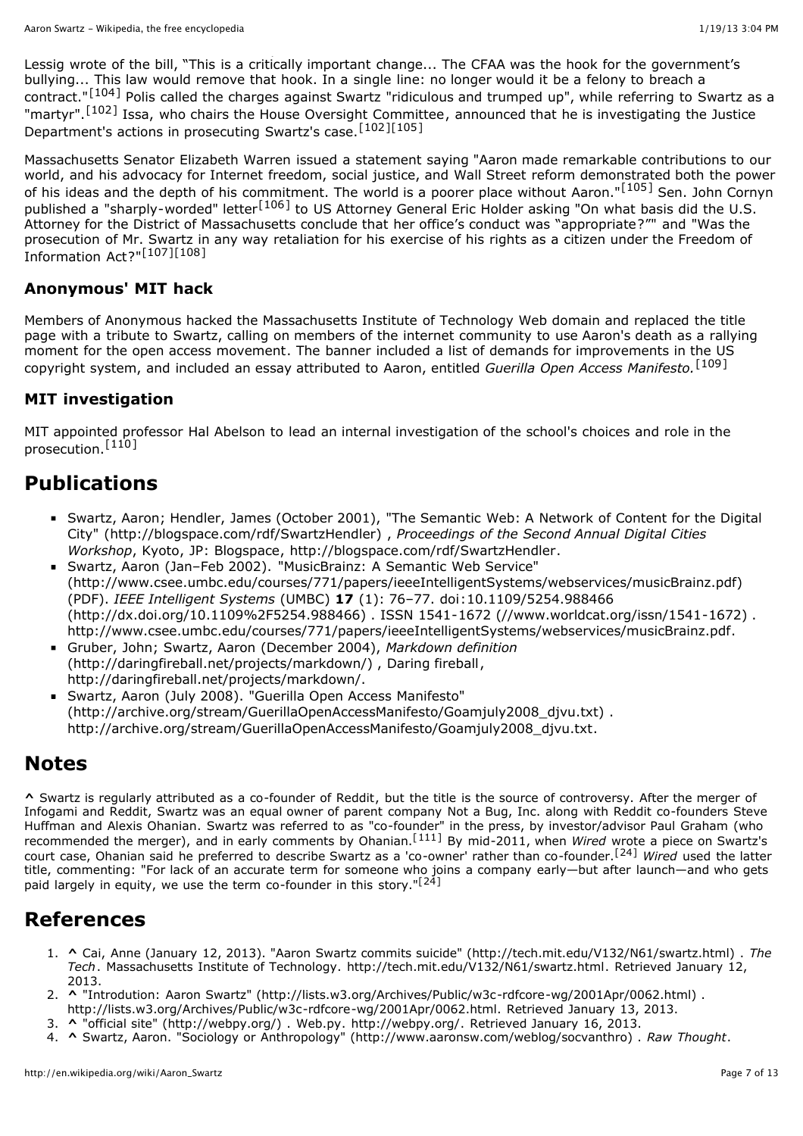Lessig wrote of the bill, "This is a critically important change... The CFAA was the hook for the government's bullying... This law would remove that hook. In a single line: no longer would it be a felony to breach a contract."[\[104\]](http://en.wikipedia.org/wiki/Aaron_Swartz#cite_note-104) Polis called the charges against Swartz "ridiculous and trumped up", while referring to Swartz as a "martyr".[\[102\]](http://en.wikipedia.org/wiki/Aaron_Swartz#cite_note-Hill-102) Issa, who chairs the House Oversight [Committee,](http://en.wikipedia.org/wiki/United_States_House_Committee_on_Oversight_and_Government_Reform) announced that he is investigating the Justice Department's actions in prosecuting Swartz's case.[\[102\]](http://en.wikipedia.org/wiki/Aaron_Swartz#cite_note-Hill-102)[\[105\]](http://en.wikipedia.org/wiki/Aaron_Swartz#cite_note-Huffington.2C_15-01-13-105)

Massachusetts Senator [Elizabeth](http://en.wikipedia.org/wiki/Elizabeth_Warren) Warren issued a statement saying "Aaron made remarkable contributions to our world, and his advocacy for Internet freedom, social justice, and Wall Street reform demonstrated both the power of his ideas and the depth of his commitment. The world is a poorer place without Aaron."[\[105\]](http://en.wikipedia.org/wiki/Aaron_Swartz#cite_note-Huffington.2C_15-01-13-105) Sen. John [Cornyn](http://en.wikipedia.org/wiki/John_Cornyn) published a "sharply-worded" letter[\[106\]](http://en.wikipedia.org/wiki/Aaron_Swartz#cite_note-106) to US Attorney General Eric [Holder](http://en.wikipedia.org/wiki/Eric_Holder) asking "On what basis did the U.S. Attorney for the District of Massachusetts conclude that her office's conduct was "appropriate?"" and "Was the prosecution of Mr. Swartz in any way retaliation for his exercise of his rights as a citizen under the Freedom of Information Act?"[\[107\]](http://en.wikipedia.org/wiki/Aaron_Swartz#cite_note-107)[\[108\]](http://en.wikipedia.org/wiki/Aaron_Swartz#cite_note-108)

### **Anonymous' MIT hack**

Members of [Anonymous](http://en.wikipedia.org/wiki/Anonymous_(group)) hacked the [Massachusetts](http://en.wikipedia.org/wiki/Massachusetts_Institute_of_Technology) Institute of Technology Web domain and replaced the title page with a tribute to Swartz, calling on members of the internet community to use Aaron's death as a rallying moment for the open access [movement](http://en.wikipedia.org/wiki/Open_access_movement). The banner included a list of demands for [improvements](http://en.wikipedia.org/wiki/US_copyright) in the US copyright system, and included an essay attributed to Aaron, entitled *Guerilla Open Access Manifesto.*[\[109\]](http://en.wikipedia.org/wiki/Aaron_Swartz#cite_note-109)

### **MIT investigation**

MIT appointed professor Hal [Abelson](http://en.wikipedia.org/wiki/Hal_Abelson) to lead an internal investigation of the school's choices and role in the prosecution.<sup>[\[110\]](http://en.wikipedia.org/wiki/Aaron_Swartz#cite_note-110)</sup>

## **Publications**

- Swartz, Aaron; Hendler, James (October 2001), "The Semantic Web: A Network of Content for the Digital City" [\(http://blogspace.com/rdf/SwartzHendler\)](http://blogspace.com/rdf/SwartzHendler) , *Proceedings of the Second Annual Digital Cities Workshop*, [Kyoto](http://en.wikipedia.org/wiki/Kyoto), [JP:](http://en.wikipedia.org/wiki/Japan) Blogspace, <http://blogspace.com/rdf/SwartzHendler>.
- Swartz, Aaron (Jan–Feb 2002). "MusicBrainz: A Semantic Web Service" [\(http://www.csee.umbc.edu/courses/771/papers/ieeeIntelligentSystems/webservices/musicBrainz.pdf\)](http://www.csee.umbc.edu/courses/771/papers/ieeeIntelligentSystems/webservices/musicBrainz.pdf) (PDF). *[IEEE](http://en.wikipedia.org/wiki/IEEE) Intelligent Systems* (UMBC) **17** (1): 76–77. [doi](http://en.wikipedia.org/wiki/Digital_object_identifier):10.1109/5254.988466 [\(http://dx.doi.org/10.1109%2F5254.988466\)](http://dx.doi.org/10.1109%2F5254.988466) . [ISSN](http://en.wikipedia.org/wiki/International_Standard_Serial_Number) 1541-1672 [\(//www.worldcat.org/issn/1541-1672\)](http://www.worldcat.org/issn/1541-1672) . [http://www.csee.umbc.edu/courses/771/papers/ieeeIntelligentSystems/webservices/musicBrainz.pdf.](http://www.csee.umbc.edu/courses/771/papers/ieeeIntelligentSystems/webservices/musicBrainz.pdf)
- [Gruber,](http://en.wikipedia.org/wiki/John_Gruber) John; Swartz, Aaron (December 2004), *Markdown definition* [\(http://daringfireball.net/projects/markdown/\)](http://daringfireball.net/projects/markdown/) , Daring fireball, [http://daringfireball.net/projects/markdown/.](http://daringfireball.net/projects/markdown/)
- Swartz, Aaron (July 2008). "Guerilla Open Access Manifesto" [\(http://archive.org/stream/GuerillaOpenAccessManifesto/Goamjuly2008\\_djvu.txt\)](http://archive.org/stream/GuerillaOpenAccessManifesto/Goamjuly2008_djvu.txt) . [http://archive.org/stream/GuerillaOpenAccessManifesto/Goamjuly2008\\_djvu.txt](http://archive.org/stream/GuerillaOpenAccessManifesto/Goamjuly2008_djvu.txt).

## **Notes**

**[^](http://en.wikipedia.org/wiki/Aaron_Swartz#ref_merger)** Swartz is regularly attributed as a co-founder of [Reddit,](http://en.wikipedia.org/wiki/Reddit) but the title is the source of controversy. After the merger of Infogami and Reddit, Swartz was an equal owner of parent company Not a Bug, Inc. along with Reddit co-founders Steve Huffman and Alexis [Ohanian.](http://en.wikipedia.org/wiki/Alexis_Ohanian) Swartz was referred to as "co-founder" in the press, by [investor/advisor](http://en.wikipedia.org/wiki/Steve_Huffman) Paul [Graham](http://en.wikipedia.org/wiki/Paul_Graham_(computer_programmer)) (who recommended the merger), and in early comments by Ohanian.[\[111\]](http://en.wikipedia.org/wiki/Aaron_Swartz#cite_note-111) By mid-2011, when *Wired* wrote a piece on Swartz's court case, Ohanian said he preferred to describe Swartz as a 'co-owner' rather than co-founder.[\[24\]](http://en.wikipedia.org/wiki/Aaron_Swartz#cite_note-Wired-arrest-24) *Wired* used the latter title, commenting: "For lack of an accurate term for someone who joins a company early—but after launch—and who gets paid largely in equity, we use the term co-founder in this story."<sup>[\[24\]](http://en.wikipedia.org/wiki/Aaron_Swartz#cite_note-Wired-arrest-24)</sup>

## **References**

- 1. **[^](http://en.wikipedia.org/wiki/Aaron_Swartz#cite_ref-thetech_1-0)** Cai, Anne (January 12, 2013). "Aaron Swartz commits suicide" [\(http://tech.mit.edu/V132/N61/swartz.html\)](http://en.wikipedia.org/wiki/The_Tech_(newspaper)) . *The Tech*. [Massachusetts](http://en.wikipedia.org/wiki/Massachusetts_Institute_of_Technology) Institute of Technology. <http://tech.mit.edu/V132/N61/swartz.html>. Retrieved January 12, 2013.
- 2. **[^](http://en.wikipedia.org/wiki/Aaron_Swartz#cite_ref-2)** "Introdution: Aaron Swartz" [\(http://lists.w3.org/Archives/Public/w3c-rdfcore-wg/2001Apr/0062.html\)](http://lists.w3.org/Archives/Public/w3c-rdfcore-wg/2001Apr/0062.html) . <http://lists.w3.org/Archives/Public/w3c-rdfcore-wg/2001Apr/0062.html>. Retrieved January 13, 2013.
- 3. **[^](http://en.wikipedia.org/wiki/Aaron_Swartz#cite_ref-3)** "official site" [\(http://webpy.org/\)](http://webpy.org/) . Web.py. <http://webpy.org/>. Retrieved January 16, 2013.
- 4. **[^](http://en.wikipedia.org/wiki/Aaron_Swartz#cite_ref-4)** Swartz, Aaron. "Sociology or Anthropology" [\(http://www.aaronsw.com/weblog/socvanthro\)](http://www.aaronsw.com/weblog/socvanthro) . *Raw Thought*.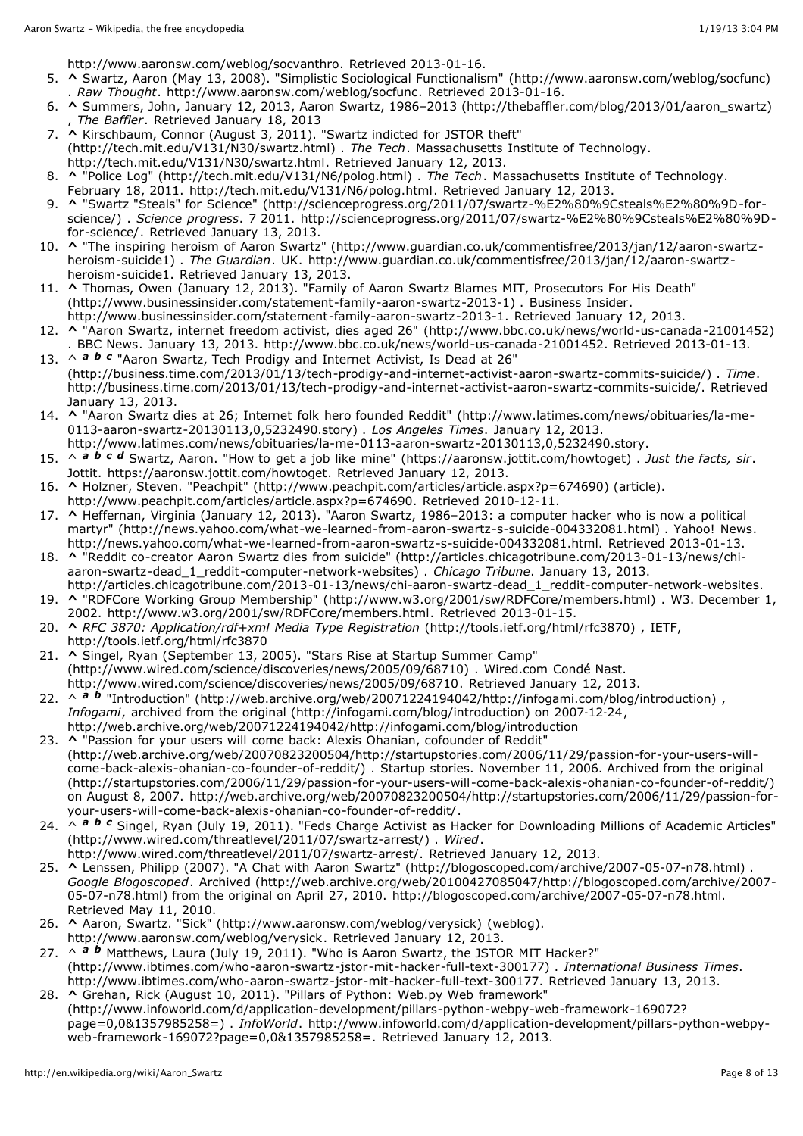[http://www.aaronsw.com/weblog/socvanthro.](http://www.aaronsw.com/weblog/socvanthro) Retrieved 2013-01-16.

- 5. **[^](http://en.wikipedia.org/wiki/Aaron_Swartz#cite_ref-5)** Swartz, Aaron (May 13, 2008). "Simplistic Sociological Functionalism" [\(http://www.aaronsw.com/weblog/socfunc\)](http://www.aaronsw.com/weblog/socfunc) . *Raw Thought*. [http://www.aaronsw.com/weblog/socfunc.](http://www.aaronsw.com/weblog/socfunc) Retrieved 2013-01-16.
- 6. **[^](http://en.wikipedia.org/wiki/Aaron_Swartz#cite_ref-6)** Summers, John, January 12, 2013, Aaron Swartz, 1986–2013 [\(http://thebaffler.com/blog/2013/01/aaron\\_swartz\)](http://thebaffler.com/blog/2013/01/aaron_swartz) , *The Baffler*. Retrieved January 18, 2013
- 7. **[^](http://en.wikipedia.org/wiki/Aaron_Swartz#cite_ref-2011-tech_7-0)** Kirschbaum, Connor (August 3, 2011). "Swartz indicted for JSTOR theft" [\(http://tech.mit.edu/V131/N30/swartz.html\)](http://tech.mit.edu/V131/N30/swartz.html) . *The [Tech](http://en.wikipedia.org/wiki/The_Tech_(newspaper))*. [Massachusetts](http://en.wikipedia.org/wiki/Massachusetts_Institute_of_Technology) Institute of Technology. <http://tech.mit.edu/V131/N30/swartz.html>. Retrieved January 12, 2013.
- 8. **[^](http://en.wikipedia.org/wiki/Aaron_Swartz#cite_ref-2011-poblotter_8-0)** "Police Log" [\(http://tech.mit.edu/V131/N6/polog.html\)](http://tech.mit.edu/V131/N6/polog.html) . *The [Tech](http://en.wikipedia.org/wiki/The_Tech_(newspaper))*. [Massachusetts](http://en.wikipedia.org/wiki/Massachusetts_Institute_of_Technology) Institute of Technology. February 18, 2011. <http://tech.mit.edu/V131/N6/polog.html>. Retrieved January 12, 2013.
- 9. **[^](http://en.wikipedia.org/wiki/Aaron_Swartz#cite_ref-9)** "Swartz "Steals" for Science" [\(http://scienceprogress.org/2011/07/swartz-%E2%80%9Csteals%E2%80%9D-for](http://scienceprogress.org/2011/07/swartz-%E2%80%9Csteals%E2%80%9D-for-science/)science/) . *Science progress*. 7 2011. [http://scienceprogress.org/2011/07/swartz-%E2%80%9Csteals%E2%80%9D](http://scienceprogress.org/2011/07/swartz-%E2%80%9Csteals%E2%80%9D-for-science/)for-science/. Retrieved January 13, 2013.
- 10. **[^](http://en.wikipedia.org/wiki/Aaron_Swartz#cite_ref-10)** "The inspiring heroism of Aaron Swartz" [\(http://www.guardian.co.uk/commentisfree/2013/jan/12/aaron-swartz](http://www.guardian.co.uk/commentisfree/2013/jan/12/aaron-swartz-heroism-suicide1)heroism-suicide1) . *The Guardian*. [UK](http://en.wikipedia.org/wiki/United_Kingdom). [http://www.guardian.co.uk/commentisfree/2013/jan/12/aaron-swartz](http://www.guardian.co.uk/commentisfree/2013/jan/12/aaron-swartz-heroism-suicide1)heroism-suicide1. Retrieved January 13, 2013.
- 11. **[^](http://en.wikipedia.org/wiki/Aaron_Swartz#cite_ref-11)** [Thomas,](http://en.wikipedia.org/wiki/Owen_Thomas_(writer)) Owen (January 12, 2013). "Family of Aaron Swartz Blames MIT, Prosecutors For His Death" [\(http://www.businessinsider.com/statement-family-aaron-swartz-2013-1\)](http://www.businessinsider.com/statement-family-aaron-swartz-2013-1) . [Business](http://en.wikipedia.org/wiki/Business_Insider) Insider. [http://www.businessinsider.com/statement-family-aaron-swartz-2013-1.](http://www.businessinsider.com/statement-family-aaron-swartz-2013-1) Retrieved January 12, 2013.
- 12. **[^](http://en.wikipedia.org/wiki/Aaron_Swartz#cite_ref-12)** "Aaron Swartz, internet freedom activist, dies aged 26" [\(http://www.bbc.co.uk/news/world-us-canada-21001452\)](http://www.bbc.co.uk/news/world-us-canada-21001452) . BBC [News.](http://en.wikipedia.org/wiki/BBC_News) January 13, 2013. <http://www.bbc.co.uk/news/world-us-canada-21001452>. Retrieved 2013-01-13.
- 13. ^ **[a](http://en.wikipedia.org/wiki/Aaron_Swartz#cite_ref-Time_13-0) [b](http://en.wikipedia.org/wiki/Aaron_Swartz#cite_ref-Time_13-1) [c](http://en.wikipedia.org/wiki/Aaron_Swartz#cite_ref-Time_13-2)** "Aaron Swartz, Tech Prodigy and Internet Activist, Is Dead at 26" [\(http://business.time.com/2013/01/13/tech-prodigy-and-internet-activist-aaron-swartz-commits-suicide/\)](http://business.time.com/2013/01/13/tech-prodigy-and-internet-activist-aaron-swartz-commits-suicide/) . *Time*. <http://business.time.com/2013/01/13/tech-prodigy-and-internet-activist-aaron-swartz-commits-suicide/>. Retrieved January 13, 2013.
- 14. **[^](http://en.wikipedia.org/wiki/Aaron_Swartz#cite_ref-14)** "Aaron Swartz dies at 26; Internet folk hero founded Reddit" [\(http://www.latimes.com/news/obituaries/la-me-](http://www.latimes.com/news/obituaries/la-me-0113-aaron-swartz-20130113,0,5232490.story)0113-aaron-swartz-20130113,0,5232490.story) . *Los Angeles Times*. January 12, 2013.
- [http://www.latimes.com/news/obituaries/la-me-0113-aaron-swartz-20130113,0,5232490.story.](http://www.latimes.com/news/obituaries/la-me-0113-aaron-swartz-20130113,0,5232490.story)
- 15. ^ *[a](http://en.wikipedia.org/wiki/Aaron_Swartz#cite_ref-Life_Story_15-0) [b](http://en.wikipedia.org/wiki/Aaron_Swartz#cite_ref-Life_Story_15-1) [c](http://en.wikipedia.org/wiki/Aaron_Swartz#cite_ref-Life_Story_15-2) [d](http://en.wikipedia.org/wiki/Aaron_Swartz#cite_ref-Life_Story_15-3)* Swartz, Aaron. "How to get a job like mine" [\(https://aaronsw.jottit.com/howtoget\)](https://aaronsw.jottit.com/howtoget) . *Just the facts, sir*. Jottit. [https://aaronsw.jottit.com/howtoget.](https://aaronsw.jottit.com/howtoget) Retrieved January 12, 2013.
- 16. **[^](http://en.wikipedia.org/wiki/Aaron_Swartz#cite_ref-16)** Holzner, Steven. "Peachpit" [\(http://www.peachpit.com/articles/article.aspx?p=674690\)](http://www.peachpit.com/articles/article.aspx?p=674690) (article). [http://www.peachpit.com/articles/article.aspx?p=674690.](http://www.peachpit.com/articles/article.aspx?p=674690) Retrieved 2010-12-11.
- 17. **[^](http://en.wikipedia.org/wiki/Aaron_Swartz#cite_ref-17)** [Heffernan,](http://en.wikipedia.org/wiki/Virginia_Heffernan) Virginia (January 12, 2013). "Aaron Swartz, 1986–2013: a computer hacker who is now a political martyr" [\(http://news.yahoo.com/what-we-learned-from-aaron-swartz-s-suicide-004332081.html\)](http://news.yahoo.com/what-we-learned-from-aaron-swartz-s-suicide-004332081.html) . [Yahoo!](http://en.wikipedia.org/wiki/Yahoo!_News) News. <http://news.yahoo.com/what-we-learned-from-aaron-swartz-s-suicide-004332081.html>. Retrieved 2013-01-13.
- 18. **[^](http://en.wikipedia.org/wiki/Aaron_Swartz#cite_ref-18)** "Reddit co-creator Aaron Swartz dies from suicide" [\(http://articles.chicagotribune.com/2013-01-13/news/chi](http://articles.chicagotribune.com/2013-01-13/news/chi-aaron-swartz-dead_1_reddit-computer-network-websites)aaron-swartz-dead\_1\_reddit-computer-network-websites) . *Chicago Tribune*. January 13, 2013. [http://articles.chicagotribune.com/2013-01-13/news/chi-aaron-swartz-dead\\_1\\_reddit-computer-network-websites.](http://articles.chicagotribune.com/2013-01-13/news/chi-aaron-swartz-dead_1_reddit-computer-network-websites)
- 19. **[^](http://en.wikipedia.org/wiki/Aaron_Swartz#cite_ref-19)** "RDFCore Working Group Membership" [\(http://www.w3.org/2001/sw/RDFCore/members.html\)](http://www.w3.org/2001/sw/RDFCore/members.html) . W3. December 1, 2002. [http://www.w3.org/2001/sw/RDFCore/members.html.](http://www.w3.org/2001/sw/RDFCore/members.html) Retrieved 2013-01-15.
- 20. **[^](http://en.wikipedia.org/wiki/Aaron_Swartz#cite_ref-20)** *RFC 3870: Application/rdf+xml Media Type Registration* [\(http://tools.ietf.org/html/rfc3870\)](http://tools.ietf.org/html/rfc3870) , IETF, <http://tools.ietf.org/html/rfc3870>
- 21. **[^](http://en.wikipedia.org/wiki/Aaron_Swartz#cite_ref-wired_21-0)** Singel, Ryan (September 13, 2005). "Stars Rise at Startup Summer Camp" [\(http://www.wired.com/science/discoveries/news/2005/09/68710\)](http://www.wired.com/science/discoveries/news/2005/09/68710) . [Wired.com](http://en.wikipedia.org/wiki/Wired_(website)) [Condé](http://en.wikipedia.org/wiki/Cond%C3%A9_Nast_Publications) Nast. <http://www.wired.com/science/discoveries/news/2005/09/68710>. Retrieved January 12, 2013.
- 22. ^ *[a](http://en.wikipedia.org/wiki/Aaron_Swartz#cite_ref-infogami2007_22-0)**[b](http://en.wikipedia.org/wiki/Aaron_Swartz#cite_ref-infogami2007_22-1)* "Introduction" [\(http://web.archive.org/web/20071224194042/http://infogami.com/blog/introduction\)](http://web.archive.org/web/20071224194042/http://infogami.com/blog/introduction) , *Infogami*, archived from the original [\(http://infogami.com/blog/introduction\)](http://infogami.com/blog/introduction) on 2007‐12‐24, <http://web.archive.org/web/20071224194042/http://infogami.com/blog/introduction>
- 23. **[^](http://en.wikipedia.org/wiki/Aaron_Swartz#cite_ref-startup_23-0)** "Passion for your users will come back: Alexis Ohanian, cofounder of Reddit" [\(http://web.archive.org/web/20070823200504/http://startupstories.com/2006/11/29/passion-for-your-users-will](http://web.archive.org/web/20070823200504/http://startupstories.com/2006/11/29/passion-for-your-users-will-come-back-alexis-ohanian-co-founder-of-reddit/)come-back-alexis-ohanian-co-founder-of-reddit/) . Startup stories. November 11, 2006. Archived from the original [\(http://startupstories.com/2006/11/29/passion-for-your-users-will-come-back-alexis-ohanian-co-founder-of-reddit/\)](http://startupstories.com/2006/11/29/passion-for-your-users-will-come-back-alexis-ohanian-co-founder-of-reddit/) on August 8, 2007. [http://web.archive.org/web/20070823200504/http://startupstories.com/2006/11/29/passion-for](http://web.archive.org/web/20070823200504/http://startupstories.com/2006/11/29/passion-for-your-users-will-come-back-alexis-ohanian-co-founder-of-reddit/)your-users-will-come-back-alexis-ohanian-co-founder-of-reddit/.
- 24. ^ **[a](http://en.wikipedia.org/wiki/Aaron_Swartz#cite_ref-Wired-arrest_24-0) [b](http://en.wikipedia.org/wiki/Aaron_Swartz#cite_ref-Wired-arrest_24-1)** *[c](http://en.wikipedia.org/wiki/Aaron_Swartz#cite_ref-Wired-arrest_24-2)* Singel, Ryan (July 19, 2011). "Feds Charge Activist as Hacker for Downloading Millions of Academic Articles" [\(http://www.wired.com/threatlevel/2011/07/swartz-arrest/\)](http://www.wired.com/threatlevel/2011/07/swartz-arrest/) . *[Wired](http://en.wikipedia.org/wiki/Wired_magazine)*.
- [http://www.wired.com/threatlevel/2011/07/swartz-arrest/.](http://www.wired.com/threatlevel/2011/07/swartz-arrest/) Retrieved January 12, 2013. 25. **[^](http://en.wikipedia.org/wiki/Aaron_Swartz#cite_ref-A_Chat_with_Aaron_Swartz_25-0)** Lenssen, Philipp (2007). "A Chat with Aaron Swartz" [\(http://blogoscoped.com/archive/2007-05-07-n78.html\)](http://blogoscoped.com/archive/2007-05-07-n78.html) . *Google [Blogoscoped](http://en.wikipedia.org/wiki/Google_Blogoscoped)*. Archived [\(http://web.archive.org/web/20100427085047/http://blogoscoped.com/archive/2007-](http://web.archive.org/web/20100427085047/http://blogoscoped.com/archive/2007-05-07-n78.html) 05-07-n78.html) from the original on April 27, 2010. [http://blogoscoped.com/archive/2007-05-07-n78.html.](http://blogoscoped.com/archive/2007-05-07-n78.html) Retrieved May 11, 2010.
- 26. **[^](http://en.wikipedia.org/wiki/Aaron_Swartz#cite_ref-26)** Aaron, Swartz. "Sick" [\(http://www.aaronsw.com/weblog/verysick\)](http://www.aaronsw.com/weblog/verysick) (weblog). [http://www.aaronsw.com/weblog/verysick.](http://www.aaronsw.com/weblog/verysick) Retrieved January 12, 2013.
- 27. ^ *[a](http://en.wikipedia.org/wiki/Aaron_Swartz#cite_ref-ibt_27-0) [b](http://en.wikipedia.org/wiki/Aaron_Swartz#cite_ref-ibt_27-1)* Matthews, Laura (July 19, 2011). "Who is Aaron Swartz, the JSTOR MIT Hacker?" [\(http://www.ibtimes.com/who-aaron-swartz-jstor-mit-hacker-full-text-300177\)](http://www.ibtimes.com/who-aaron-swartz-jstor-mit-hacker-full-text-300177) . *International Business Times*. <http://www.ibtimes.com/who-aaron-swartz-jstor-mit-hacker-full-text-300177>. Retrieved January 13, 2013.
- 28. **[^](http://en.wikipedia.org/wiki/Aaron_Swartz#cite_ref-infowo_28-0)** Grehan, Rick (August 10, 2011). "Pillars of Python: Web.py Web framework" [\(http://www.infoworld.com/d/application-development/pillars-python-webpy-web-framework-169072?](http://www.infoworld.com/d/application-development/pillars-python-webpy-web-framework-169072?page=0,0&1357985258=) page=0,0&1357985258=) . *[InfoWorld](http://en.wikipedia.org/wiki/InfoWorld)*. [http://www.infoworld.com/d/application-development/pillars-python-webpy](http://www.infoworld.com/d/application-development/pillars-python-webpy-web-framework-169072?page=0,0&1357985258=)web-framework-169072?page=0,0&1357985258=. Retrieved January 12, 2013.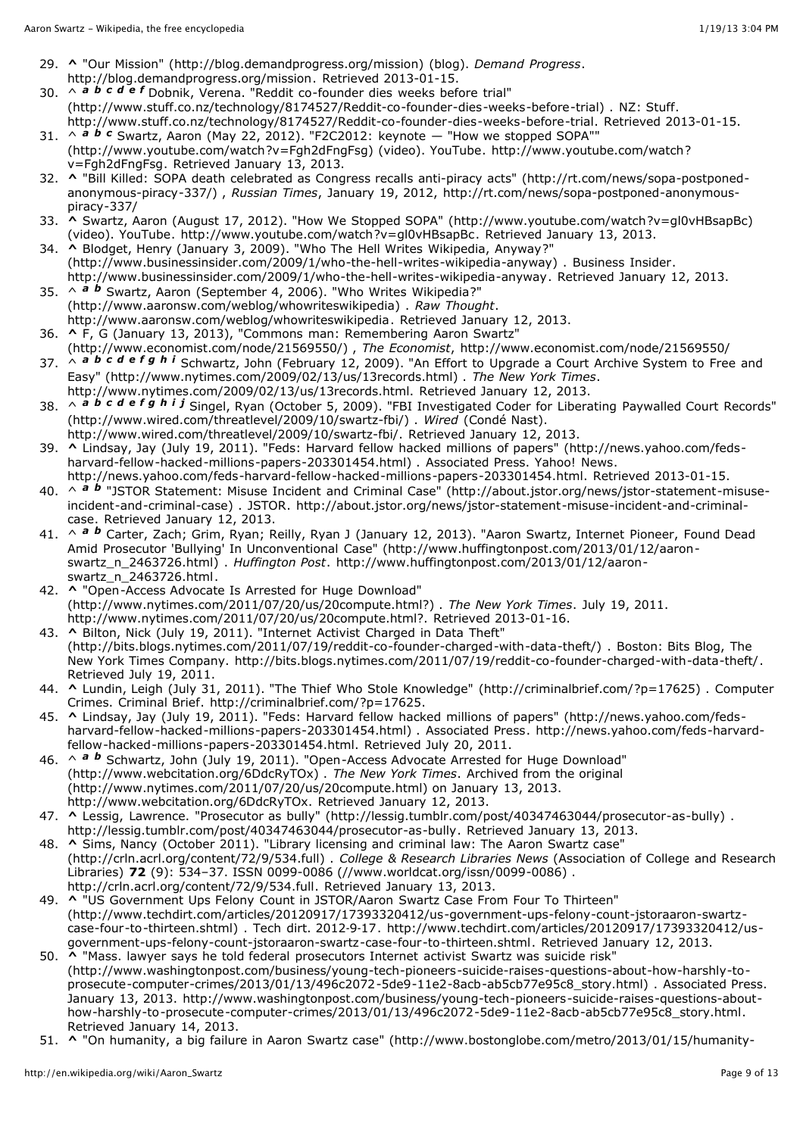- 29. **[^](http://en.wikipedia.org/wiki/Aaron_Swartz#cite_ref-29)** "Our Mission" [\(http://blog.demandprogress.org/mission\)](http://blog.demandprogress.org/mission) (blog). *Demand Progress*. [http://blog.demandprogress.org/mission.](http://blog.demandprogress.org/mission) Retrieved 2013-01-15.
- 30. ^ *[a](http://en.wikipedia.org/wiki/Aaron_Swartz#cite_ref-stuff1_30-0) [b](http://en.wikipedia.org/wiki/Aaron_Swartz#cite_ref-stuff1_30-1) [c](http://en.wikipedia.org/wiki/Aaron_Swartz#cite_ref-stuff1_30-2) [d](http://en.wikipedia.org/wiki/Aaron_Swartz#cite_ref-stuff1_30-3) [e](http://en.wikipedia.org/wiki/Aaron_Swartz#cite_ref-stuff1_30-4) [f](http://en.wikipedia.org/wiki/Aaron_Swartz#cite_ref-stuff1_30-5)* Dobnik, Verena. "Reddit co-founder dies weeks before trial" [\(http://www.stuff.co.nz/technology/8174527/Reddit-co-founder-dies-weeks-before-trial\)](http://www.stuff.co.nz/technology/8174527/Reddit-co-founder-dies-weeks-before-trial) . [NZ](http://en.wikipedia.org/wiki/New_Zealand): Stuff. <http://www.stuff.co.nz/technology/8174527/Reddit-co-founder-dies-weeks-before-trial>. Retrieved 2013-01-15.
- 31.  $\land$  $\land$  $\land$  **a [b](http://en.wikipedia.org/wiki/Aaron_Swartz#cite_ref-F2c2_31-1)** *[c](http://en.wikipedia.org/wiki/Aaron_Swartz#cite_ref-F2c2_31-2)* Swartz, Aaron (May 22, 2012). "F2C2012: keynote  $-$  "How we stopped SOPA"" [\(http://www.youtube.com/watch?v=Fgh2dFngFsg\)](http://www.youtube.com/watch?v=Fgh2dFngFsg) (video). YouTube. http://www.youtube.com/watch? v=Fgh2dFngFsg. Retrieved January 13, 2013.
- 32. **[^](http://en.wikipedia.org/wiki/Aaron_Swartz#cite_ref-32)** "Bill Killed: SOPA death celebrated as Congress recalls anti-piracy acts" (http://rt.com/news/sopa-postponedanonymous-piracy-337/) , *Russian Times*, January 19, 2012, [http://rt.com/news/sopa-postponed-anonymous](http://rt.com/news/sopa-postponed-anonymous-piracy-337/)piracy-337/
- 33. **[^](http://en.wikipedia.org/wiki/Aaron_Swartz#cite_ref-33)** Swartz, Aaron (August 17, 2012). "How We Stopped SOPA" [\(http://www.youtube.com/watch?v=gl0vHBsapBc\)](http://www.youtube.com/watch?v=gl0vHBsapBc) (video). YouTube. <http://www.youtube.com/watch?v=gl0vHBsapBc>. Retrieved January 13, 2013.
- 34. **[^](http://en.wikipedia.org/wiki/Aaron_Swartz#cite_ref-34)** [Blodget,](http://en.wikipedia.org/wiki/Henry_Blodget) Henry (January 3, 2009). "Who The Hell Writes Wikipedia, Anyway?" [\(http://www.businessinsider.com/2009/1/who-the-hell-writes-wikipedia-anyway\)](http://www.businessinsider.com/2009/1/who-the-hell-writes-wikipedia-anyway) . [Business](http://en.wikipedia.org/wiki/Business_Insider) Insider. [http://www.businessinsider.com/2009/1/who-the-hell-writes-wikipedia-anyway.](http://www.businessinsider.com/2009/1/who-the-hell-writes-wikipedia-anyway) Retrieved January 12, 2013.
- 35. ^ *[a](http://en.wikipedia.org/wiki/Aaron_Swartz#cite_ref-whowriteswikipedia_35-0) [b](http://en.wikipedia.org/wiki/Aaron_Swartz#cite_ref-whowriteswikipedia_35-1)* Swartz, Aaron (September 4, 2006). "Who Writes Wikipedia?" [\(http://www.aaronsw.com/weblog/whowriteswikipedia\)](http://www.aaronsw.com/weblog/whowriteswikipedia) . *Raw Thought*. <http://www.aaronsw.com/weblog/whowriteswikipedia>. Retrieved January 12, 2013.
- 36. **[^](http://en.wikipedia.org/wiki/Aaron_Swartz#cite_ref-36)** F, G (January 13, 2013), "Commons man: Remembering Aaron Swartz" [\(http://www.economist.com/node/21569550/\)](http://www.economist.com/node/21569550/) , *The Economist*, <http://www.economist.com/node/21569550/>
- 37. ^ *[a](http://en.wikipedia.org/wiki/Aaron_Swartz#cite_ref-Schwartz2009_37-0) [b](http://en.wikipedia.org/wiki/Aaron_Swartz#cite_ref-Schwartz2009_37-1) [c](http://en.wikipedia.org/wiki/Aaron_Swartz#cite_ref-Schwartz2009_37-2) [d](http://en.wikipedia.org/wiki/Aaron_Swartz#cite_ref-Schwartz2009_37-3) [e](http://en.wikipedia.org/wiki/Aaron_Swartz#cite_ref-Schwartz2009_37-4) [f](http://en.wikipedia.org/wiki/Aaron_Swartz#cite_ref-Schwartz2009_37-5) [g](http://en.wikipedia.org/wiki/Aaron_Swartz#cite_ref-Schwartz2009_37-6) [h](http://en.wikipedia.org/wiki/Aaron_Swartz#cite_ref-Schwartz2009_37-7) [i](http://en.wikipedia.org/wiki/Aaron_Swartz#cite_ref-Schwartz2009_37-8)* Schwartz, John (February 12, 2009). "An Effort to Upgrade a Court Archive System to Free and Easy" [\(http://www.nytimes.com/2009/02/13/us/13records.html\)](http://www.nytimes.com/2009/02/13/us/13records.html) . *The New York Times*. <http://www.nytimes.com/2009/02/13/us/13records.html>. Retrieved January 12, 2013.
- 38. ^ *[a](http://en.wikipedia.org/wiki/Aaron_Swartz#cite_ref-Singel2009_38-0) [b](http://en.wikipedia.org/wiki/Aaron_Swartz#cite_ref-Singel2009_38-1) [c](http://en.wikipedia.org/wiki/Aaron_Swartz#cite_ref-Singel2009_38-2) [d](http://en.wikipedia.org/wiki/Aaron_Swartz#cite_ref-Singel2009_38-3) [e](http://en.wikipedia.org/wiki/Aaron_Swartz#cite_ref-Singel2009_38-4) [f](http://en.wikipedia.org/wiki/Aaron_Swartz#cite_ref-Singel2009_38-5) [g](http://en.wikipedia.org/wiki/Aaron_Swartz#cite_ref-Singel2009_38-6) [h](http://en.wikipedia.org/wiki/Aaron_Swartz#cite_ref-Singel2009_38-7) [i](http://en.wikipedia.org/wiki/Aaron_Swartz#cite_ref-Singel2009_38-8) [j](http://en.wikipedia.org/wiki/Aaron_Swartz#cite_ref-Singel2009_38-9)* Singel, Ryan (October 5, 2009). "FBI Investigated Coder for Liberating Paywalled Court Records" [\(http://www.wired.com/threatlevel/2009/10/swartz-fbi/\)](http://www.wired.com/threatlevel/2009/10/swartz-fbi/) . *[Wired](http://en.wikipedia.org/wiki/Wired_(magazine))* (Condé Nast). [http://www.wired.com/threatlevel/2009/10/swartz-fbi/.](http://www.wired.com/threatlevel/2009/10/swartz-fbi/) Retrieved January 12, 2013.
- 39. **[^](http://en.wikipedia.org/wiki/Aaron_Swartz#cite_ref-39)** Lindsay, Jay (July 19, 2011). "Feds: Harvard fellow hacked millions of papers" (http://news.yahoo.com/feds[harvard-fellow-hacked-millions-papers-203301454.html\)](http://news.yahoo.com/feds-harvard-fellow-hacked-millions-papers-203301454.html) . Associated Press. [Yahoo!](http://en.wikipedia.org/wiki/Yahoo!_News) News.
- <http://news.yahoo.com/feds-harvard-fellow-hacked-millions-papers-203301454.html>. Retrieved 2013-01-15. 40. ^ **[a](http://en.wikipedia.org/wiki/Aaron_Swartz#cite_ref-jstor-statement_40-0) [b](http://en.wikipedia.org/wiki/Aaron_Swartz#cite_ref-jstor-statement_40-1)** "JSTOR Statement: Misuse Incident and Criminal Case" (http://about.jstor.org/news/jstor-statement-misuseincident-and-criminal-case) . JSTOR. [http://about.jstor.org/news/jstor-statement-misuse-incident-and-criminal](http://about.jstor.org/news/jstor-statement-misuse-incident-and-criminal-case)case. Retrieved January 12, 2013.
- 41. ^ **[a](http://en.wikipedia.org/wiki/Aaron_Swartz#cite_ref-HuffPost_20130112_41-0) [b](http://en.wikipedia.org/wiki/Aaron_Swartz#cite_ref-HuffPost_20130112_41-1)** Carter, Zach; Grim, Ryan; Reilly, Ryan J (January 12, 2013). "Aaron Swartz, Internet Pioneer, Found Dead Amid Prosecutor 'Bullying' In Unconventional Case" [\(http://www.huffingtonpost.com/2013/01/12/aaron](http://www.huffingtonpost.com/2013/01/12/aaron-swartz_n_2463726.html)swartz\_n\_2463726.html) . *Huffington Post*. [http://www.huffingtonpost.com/2013/01/12/aaron](http://www.huffingtonpost.com/2013/01/12/aaron-swartz_n_2463726.html)swartz\_n\_2463726.html.
- 42. **[^](http://en.wikipedia.org/wiki/Aaron_Swartz#cite_ref-42)** "Open-Access Advocate Is Arrested for Huge Download" [\(http://www.nytimes.com/2011/07/20/us/20compute.html?\)](http://www.nytimes.com/2011/07/20/us/20compute.html?) . *The New York Times*. July 19, 2011. <http://www.nytimes.com/2011/07/20/us/20compute.html>?. Retrieved 2013-01-16.
- 43. **[^](http://en.wikipedia.org/wiki/Aaron_Swartz#cite_ref-Internet_Activist_Charged_in_Data_Theft_43-0)** Bilton, Nick (July 19, 2011). "Internet Activist Charged in Data Theft" [\(http://bits.blogs.nytimes.com/2011/07/19/reddit-co-founder-charged-with-data-theft/\)](http://bits.blogs.nytimes.com/2011/07/19/reddit-co-founder-charged-with-data-theft/) . Boston: Bits Blog, The New York Times Company. [http://bits.blogs.nytimes.com/2011/07/19/reddit-co-founder-charged-with-data-theft/.](http://bits.blogs.nytimes.com/2011/07/19/reddit-co-founder-charged-with-data-theft/) Retrieved July 19, 2011.
- 44. **[^](http://en.wikipedia.org/wiki/Aaron_Swartz#cite_ref-CB1_44-0)** Lundin, Leigh (July 31, 2011). "The Thief Who Stole Knowledge" [\(http://criminalbrief.com/?p=17625\)](http://criminalbrief.com/?p=17625) . Computer Crimes. Criminal Brief. <http://criminalbrief.com/?p=17625>.
- 45. **[^](http://en.wikipedia.org/wiki/Aaron_Swartz#cite_ref-Feds:_Harvard_fellow_hacked_millions_of_papers_45-0)** Lindsay, Jay (July 19, 2011). "Feds: Harvard fellow hacked millions of papers" (http://news.yahoo.com/feds[harvard-fellow-hacked-millions-papers-203301454.html\)](http://news.yahoo.com/feds-harvard-fellow-hacked-millions-papers-203301454.html) . Associated Press. http://news.yahoo.com/feds-harvardfellow-hacked-millions-papers-203301454.html. Retrieved July 20, 2011.
- 46. ^ *[a](http://en.wikipedia.org/wiki/Aaron_Swartz#cite_ref-open-access-adv_46-0) [b](http://en.wikipedia.org/wiki/Aaron_Swartz#cite_ref-open-access-adv_46-1)* Schwartz, John (July 19, 2011). "Open-Access Advocate Arrested for Huge Download" [\(http://www.webcitation.org/6DdcRyTOx\)](http://www.webcitation.org/6DdcRyTOx) . *The New York [Times](http://en.wikipedia.org/wiki/The_New_York_Times)*. Archived from the original [\(http://www.nytimes.com/2011/07/20/us/20compute.html\)](http://www.nytimes.com/2011/07/20/us/20compute.html) on January 13, 2013. <http://www.webcitation.org/6DdcRyTOx>. Retrieved January 12, 2013.
- 47. **[^](http://en.wikipedia.org/wiki/Aaron_Swartz#cite_ref-Lessig_20130113_47-0)** Lessig, Lawrence. "Prosecutor as bully" [\(http://lessig.tumblr.com/post/40347463044/prosecutor-as-bully\)](http://lessig.tumblr.com/post/40347463044/prosecutor-as-bully) . [http://lessig.tumblr.com/post/40347463044/prosecutor-as-bully.](http://lessig.tumblr.com/post/40347463044/prosecutor-as-bully) Retrieved January 13, 2013.
- 48. **[^](http://en.wikipedia.org/wiki/Aaron_Swartz#cite_ref-crln_48-0)** Sims, Nancy (October 2011). "Library licensing and criminal law: The Aaron Swartz case" [\(http://crln.acrl.org/content/72/9/534.full\)](http://crln.acrl.org/content/72/9/534.full) . *College [& Research](http://en.wikipedia.org/wiki/College_%26_Research_Libraries_News) Libraries News* (Association of College and Research Libraries) **72** (9): 534–37. [ISSN](http://en.wikipedia.org/wiki/International_Standard_Serial_Number) 0099-0086 [\(//www.worldcat.org/issn/0099-0086\)](http://www.worldcat.org/issn/0099-0086) . <http://crln.acrl.org/content/72/9/534.full>. Retrieved January 13, 2013.
- 49. **[^](http://en.wikipedia.org/wiki/Aaron_Swartz#cite_ref-techdirt_49-0)** "US Government Ups Felony Count in JSTOR/Aaron Swartz Case From Four To Thirteen" [\(http://www.techdirt.com/articles/20120917/17393320412/us-government-ups-felony-count-jstoraaron-swartz](http://www.techdirt.com/articles/20120917/17393320412/us-government-ups-felony-count-jstoraaron-swartz-case-four-to-thirteen.shtml)case-four-to-thirteen.shtml) . Tech dirt. 2012‐9‐17. http://www.techdirt.com/articles/20120917/17393320412/us[government-ups-felony-count-jstoraaron-swartz-case-four-to-thirteen.shtml.](http://www.techdirt.com/articles/20120917/17393320412/us-government-ups-felony-count-jstoraaron-swartz-case-four-to-thirteen.shtml) Retrieved January 12, 2013.
- 50. **[^](http://en.wikipedia.org/wiki/Aaron_Swartz#cite_ref-Post_20130113_50-0)** "Mass. lawyer says he told federal prosecutors Internet activist Swartz was suicide risk" [\(http://www.washingtonpost.com/business/young-tech-pioneers-suicide-raises-questions-about-how-harshly-to](http://www.washingtonpost.com/business/young-tech-pioneers-suicide-raises-questions-about-how-harshly-to-prosecute-computer-crimes/2013/01/13/496c2072-5de9-11e2-8acb-ab5cb77e95c8_story.html)prosecute-computer-crimes/2013/01/13/496c2072-5de9-11e2-8acb-ab5cb77e95c8\_story.html) . Associated Press. January 13, 2013. http://www.washingtonpost.com/business/young-tech-pioneers-suicide-raises-questions-about[how-harshly-to-prosecute-computer-crimes/2013/01/13/496c2072-5de9-11e2-8acb-ab5cb77e95c8\\_story.html.](http://www.washingtonpost.com/business/young-tech-pioneers-suicide-raises-questions-about-how-harshly-to-prosecute-computer-crimes/2013/01/13/496c2072-5de9-11e2-8acb-ab5cb77e95c8_story.html) Retrieved January 14, 2013.
- 51. **[^](http://en.wikipedia.org/wiki/Aaron_Swartz#cite_ref-51)** "On humanity, a big failure in Aaron Swartz case" [\(http://www.bostonglobe.com/metro/2013/01/15/humanity-](http://www.bostonglobe.com/metro/2013/01/15/humanity-deficit/bj8oThPDwzgxBSHQt3tyKI/story.html?s_campaign=sm_tw)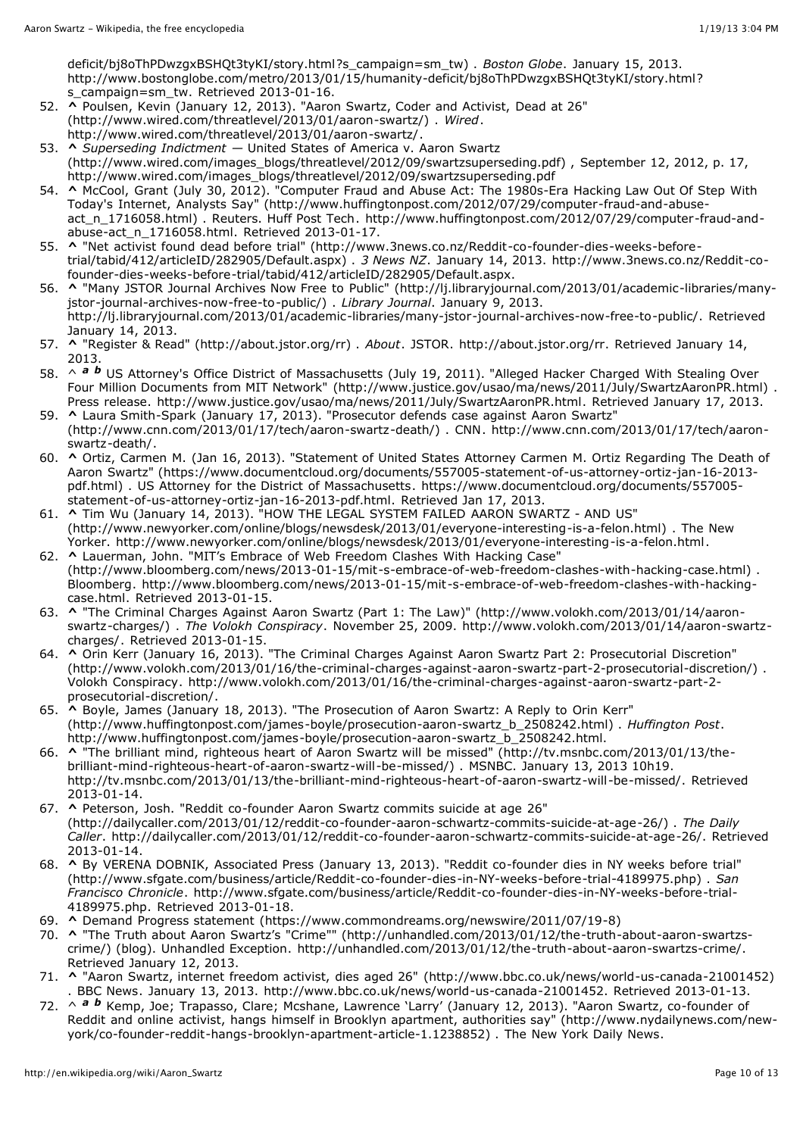[deficit/bj8oThPDwzgxBSHQt3tyKI/story.html?s\\_campaign=sm\\_tw\)](http://www.bostonglobe.com/metro/2013/01/15/humanity-deficit/bj8oThPDwzgxBSHQt3tyKI/story.html?s_campaign=sm_tw) . *Boston Globe*. January 15, 2013. [http://www.bostonglobe.com/metro/2013/01/15/humanity-deficit/bj8oThPDwzgxBSHQt3tyKI/story.html?](http://www.bostonglobe.com/metro/2013/01/15/humanity-deficit/bj8oThPDwzgxBSHQt3tyKI/story.html?s_campaign=sm_tw) s\_campaign=sm\_tw. Retrieved 2013-01-16.

- 52. **[^](http://en.wikipedia.org/wiki/Aaron_Swartz#cite_ref-Wired_20130113_52-0)** Poulsen, Kevin (January 12, 2013). "Aaron Swartz, Coder and Activist, Dead at 26" [\(http://www.wired.com/threatlevel/2013/01/aaron-swartz/\)](http://www.wired.com/threatlevel/2013/01/aaron-swartz/) . *Wired*. [http://www.wired.com/threatlevel/2013/01/aaron-swartz/.](http://www.wired.com/threatlevel/2013/01/aaron-swartz/)
- 53. **[^](http://en.wikipedia.org/wiki/Aaron_Swartz#cite_ref-53)** *Superseding Indictment —* United States of America v. Aaron Swartz [\(http://www.wired.com/images\\_blogs/threatlevel/2012/09/swartzsuperseding.pdf\)](http://www.wired.com/images_blogs/threatlevel/2012/09/swartzsuperseding.pdf) , September 12, 2012, p. 17, [http://www.wired.com/images\\_blogs/threatlevel/2012/09/swartzsuperseding.pdf](http://www.wired.com/images_blogs/threatlevel/2012/09/swartzsuperseding.pdf)
- 54. **[^](http://en.wikipedia.org/wiki/Aaron_Swartz#cite_ref-54)** McCool, Grant (July 30, 2012). "Computer Fraud and Abuse Act: The 1980s-Era Hacking Law Out Of Step With Today's Internet, Analysts Say" [\(http://www.huffingtonpost.com/2012/07/29/computer-fraud-and-abuse](http://www.huffingtonpost.com/2012/07/29/computer-fraud-and-abuse-act_n_1716058.html)act\_n\_1716058.html) . Reuters. Huff Post Tech. [http://www.huffingtonpost.com/2012/07/29/computer-fraud-and](http://www.huffingtonpost.com/2012/07/29/computer-fraud-and-abuse-act_n_1716058.html)abuse-act\_n\_1716058.html. Retrieved 2013-01-17.
- 55. **[^](http://en.wikipedia.org/wiki/Aaron_Swartz#cite_ref-55)** "Net activist found dead before trial" [\(http://www.3news.co.nz/Reddit-co-founder-dies-weeks-before](http://www.3news.co.nz/Reddit-co-founder-dies-weeks-before-trial/tabid/412/articleID/282905/Default.aspx)trial/tabid/412/articleID/282905/Default.aspx) . *[3 News](http://en.wikipedia.org/wiki/3_News_NZ) NZ*. January 14, 2013. http://www.3news.co.nz/Reddit-co[founder-dies-weeks-before-trial/tabid/412/articleID/282905/Default.aspx.](http://www.3news.co.nz/Reddit-co-founder-dies-weeks-before-trial/tabid/412/articleID/282905/Default.aspx)
- 56. **[^](http://en.wikipedia.org/wiki/Aaron_Swartz#cite_ref-LibraryJournal_56-0)** "Many JSTOR Journal Archives Now Free to Public" [\(http://lj.libraryjournal.com/2013/01/academic-libraries/many](http://lj.libraryjournal.com/2013/01/academic-libraries/many-jstor-journal-archives-now-free-to-public/)jstor-journal-archives-now-free-to-public/) . *Library [Journal](http://en.wikipedia.org/wiki/Library_Journal)*. January 9, 2013. [http://lj.libraryjournal.com/2013/01/academic-libraries/many-jstor-journal-archives-now-free-to-public/.](http://lj.libraryjournal.com/2013/01/academic-libraries/many-jstor-journal-archives-now-free-to-public/) Retrieved January 14, 2013.
- 57. **[^](http://en.wikipedia.org/wiki/Aaron_Swartz#cite_ref-JSTOR_RaR_57-0)** "Register & Read" [\(http://about.jstor.org/rr\)](http://about.jstor.org/rr) . *About*. [JSTOR](http://en.wikipedia.org/wiki/JSTOR). <http://about.jstor.org/rr>. Retrieved January 14, 2013.
- 58. ^ **[a](http://en.wikipedia.org/wiki/Aaron_Swartz#cite_ref-SwartzAaronPR_58-0) [b](http://en.wikipedia.org/wiki/Aaron_Swartz#cite_ref-SwartzAaronPR_58-1)** US Attorney's Office District of Massachusetts (July 19, 2011). "Alleged Hacker Charged With Stealing Over Four Million Documents from MIT Network" [\(http://www.justice.gov/usao/ma/news/2011/July/SwartzAaronPR.html\)](http://www.justice.gov/usao/ma/news/2011/July/SwartzAaronPR.html) . Press release. <http://www.justice.gov/usao/ma/news/2011/July/SwartzAaronPR.html>. Retrieved January 17, 2013.
- 59. **[^](http://en.wikipedia.org/wiki/Aaron_Swartz#cite_ref-59)** Laura Smith-Spark (January 17, 2013). "Prosecutor defends case against Aaron Swartz" [\(http://www.cnn.com/2013/01/17/tech/aaron-swartz-death/\)](http://www.cnn.com/2013/01/17/tech/aaron-swartz-death/) . CNN. http://www.cnn.com/2013/01/17/tech/aaronswartz-death/.
- 60. **[^](http://en.wikipedia.org/wiki/Aaron_Swartz#cite_ref-Ortiz2013_60-0)** Ortiz, [Carmen](http://en.wikipedia.org/wiki/Carmen_Ortiz) M. (Jan 16, 2013). "Statement of United States Attorney Carmen M. Ortiz Regarding The Death of Aaron Swartz" [\(https://www.documentcloud.org/documents/557005-statement-of-us-attorney-ortiz-jan-16-2013](https://www.documentcloud.org/documents/557005-statement-of-us-attorney-ortiz-jan-16-2013-pdf.html) pdf.html) . US Attorney for the District of Massachusetts. [https://www.documentcloud.org/documents/557005](https://www.documentcloud.org/documents/557005-statement-of-us-attorney-ortiz-jan-16-2013-pdf.html) statement-of-us-attorney-ortiz-jan-16-2013-pdf.html. Retrieved Jan 17, 2013.
- 61. **[^](http://en.wikipedia.org/wiki/Aaron_Swartz#cite_ref-61)** Tim Wu (January 14, 2013). "HOW THE LEGAL SYSTEM FAILED AARON SWARTZ AND US" [\(http://www.newyorker.com/online/blogs/newsdesk/2013/01/everyone-interesting-is-a-felon.html\)](http://www.newyorker.com/online/blogs/newsdesk/2013/01/everyone-interesting-is-a-felon.html) . The New Yorker. [http://www.newyorker.com/online/blogs/newsdesk/2013/01/everyone-interesting-is-a-felon.html.](http://www.newyorker.com/online/blogs/newsdesk/2013/01/everyone-interesting-is-a-felon.html)
- 62. **[^](http://en.wikipedia.org/wiki/Aaron_Swartz#cite_ref-62)** Lauerman, John. "MIT's Embrace of Web Freedom Clashes With Hacking Case" [\(http://www.bloomberg.com/news/2013-01-15/mit-s-embrace-of-web-freedom-clashes-with-hacking-case.html\)](http://www.bloomberg.com/news/2013-01-15/mit-s-embrace-of-web-freedom-clashes-with-hacking-case.html) . [Bloomberg.](http://en.wikipedia.org/wiki/Bloomberg_L.P.) [http://www.bloomberg.com/news/2013-01-15/mit-s-embrace-of-web-freedom-clashes-with-hacking](http://www.bloomberg.com/news/2013-01-15/mit-s-embrace-of-web-freedom-clashes-with-hacking-case.html)case.html. Retrieved 2013-01-15.
- 63. **[^](http://en.wikipedia.org/wiki/Aaron_Swartz#cite_ref-63)** "The Criminal Charges Against Aaron Swartz (Part 1: The Law)" (http://www.volokh.com/2013/01/14/aaronswartz-charges/) . *The Volokh Conspiracy*. November 25, 2009. [http://www.volokh.com/2013/01/14/aaron-swartz](http://www.volokh.com/2013/01/14/aaron-swartz-charges/)charges/. Retrieved 2013-01-15.
- 64. **[^](http://en.wikipedia.org/wiki/Aaron_Swartz#cite_ref-64)** Orin Kerr (January 16, 2013). "The Criminal Charges Against Aaron Swartz Part 2: Prosecutorial Discretion" [\(http://www.volokh.com/2013/01/16/the-criminal-charges-against-aaron-swartz-part-2-prosecutorial-discretion/\)](http://www.volokh.com/2013/01/16/the-criminal-charges-against-aaron-swartz-part-2-prosecutorial-discretion/) . Volokh [Conspiracy](http://en.wikipedia.org/wiki/Volokh_Conspiracy). [http://www.volokh.com/2013/01/16/the-criminal-charges-against-aaron-swartz-part-2](http://www.volokh.com/2013/01/16/the-criminal-charges-against-aaron-swartz-part-2-prosecutorial-discretion/) prosecutorial-discretion/.
- 65. **[^](http://en.wikipedia.org/wiki/Aaron_Swartz#cite_ref-65)** Boyle, James (January 18, 2013). "The Prosecution of Aaron Swartz: A Reply to Orin Kerr" [\(http://www.huffingtonpost.com/james-boyle/prosecution-aaron-swartz\\_b\\_2508242.html\)](http://www.huffingtonpost.com/james-boyle/prosecution-aaron-swartz_b_2508242.html) . *Huffington Post*. [http://www.huffingtonpost.com/james-boyle/prosecution-aaron-swartz\\_b\\_2508242.html.](http://www.huffingtonpost.com/james-boyle/prosecution-aaron-swartz_b_2508242.html)
- 66. **[^](http://en.wikipedia.org/wiki/Aaron_Swartz#cite_ref-66)** "The brilliant mind, righteous heart of Aaron Swartz will be missed" (http://tv.msnbc.com/2013/01/13/the[brilliant-mind-righteous-heart-of-aaron-swartz-will-be-missed/\)](http://tv.msnbc.com/2013/01/13/the-brilliant-mind-righteous-heart-of-aaron-swartz-will-be-missed/) . MSNBC. January 13, 2013 10h19. <http://tv.msnbc.com/2013/01/13/the-brilliant-mind-righteous-heart-of-aaron-swartz-will-be-missed/>. Retrieved 2013-01-14.
- 67. **[^](http://en.wikipedia.org/wiki/Aaron_Swartz#cite_ref-67)** Peterson, Josh. "Reddit co-founder Aaron Swartz commits suicide at age 26" [\(http://dailycaller.com/2013/01/12/reddit-co-founder-aaron-schwartz-commits-suicide-at-age-26/\)](http://dailycaller.com/2013/01/12/reddit-co-founder-aaron-schwartz-commits-suicide-at-age-26/) . *The Daily Caller*. <http://dailycaller.com/2013/01/12/reddit-co-founder-aaron-schwartz-commits-suicide-at-age-26/>. Retrieved 2013-01-14.
- 68. **[^](http://en.wikipedia.org/wiki/Aaron_Swartz#cite_ref-68)** By VERENA DOBNIK, Associated Press (January 13, 2013). "Reddit co-founder dies in NY weeks before trial" [\(http://www.sfgate.com/business/article/Reddit-co-founder-dies-in-NY-weeks-before-trial-4189975.php\)](http://www.sfgate.com/business/article/Reddit-co-founder-dies-in-NY-weeks-before-trial-4189975.php) . *San Francisco Chronicle*. [http://www.sfgate.com/business/article/Reddit-co-founder-dies-in-NY-weeks-before-trial-](http://www.sfgate.com/business/article/Reddit-co-founder-dies-in-NY-weeks-before-trial-4189975.php)4189975.php. Retrieved 2013-01-18.
- 69. **[^](http://en.wikipedia.org/wiki/Aaron_Swartz#cite_ref-69)** Demand Progress statement [\(https://www.commondreams.org/newswire/2011/07/19-8\)](https://www.commondreams.org/newswire/2011/07/19-8)
- 70. **[^](http://en.wikipedia.org/wiki/Aaron_Swartz#cite_ref-70)** "The Truth about Aaron Swartz's "Crime"" (http://unhandled.com/2013/01/12/the-truth-about-aaron-swartzscrime/) (blog). Unhandled Exception. [http://unhandled.com/2013/01/12/the-truth-about-aaron-swartzs-crime/.](http://unhandled.com/2013/01/12/the-truth-about-aaron-swartzs-crime/) Retrieved January 12, 2013.
- 71. **[^](http://en.wikipedia.org/wiki/Aaron_Swartz#cite_ref-71)** "Aaron Swartz, internet freedom activist, dies aged 26" [\(http://www.bbc.co.uk/news/world-us-canada-21001452\)](http://www.bbc.co.uk/news/world-us-canada-21001452) . BBC [News.](http://en.wikipedia.org/wiki/BBC_News) January 13, 2013. <http://www.bbc.co.uk/news/world-us-canada-21001452>. Retrieved 2013-01-13.
- 72. ^ *[a](http://en.wikipedia.org/wiki/Aaron_Swartz#cite_ref-NYDaily_20120112_72-0) [b](http://en.wikipedia.org/wiki/Aaron_Swartz#cite_ref-NYDaily_20120112_72-1)* Kemp, Joe; Trapasso, Clare; Mcshane, Lawrence 'Larry' (January 12, 2013). "Aaron Swartz, co-founder of Reddit and online activist, hangs himself in Brooklyn apartment, authorities say" (http://www.nydailynews.com/new[york/co-founder-reddit-hangs-brooklyn-apartment-article-1.1238852\)](http://www.nydailynews.com/new-york/co-founder-reddit-hangs-brooklyn-apartment-article-1.1238852) . The New York Daily [News](http://en.wikipedia.org/wiki/The_New_York_Daily_News).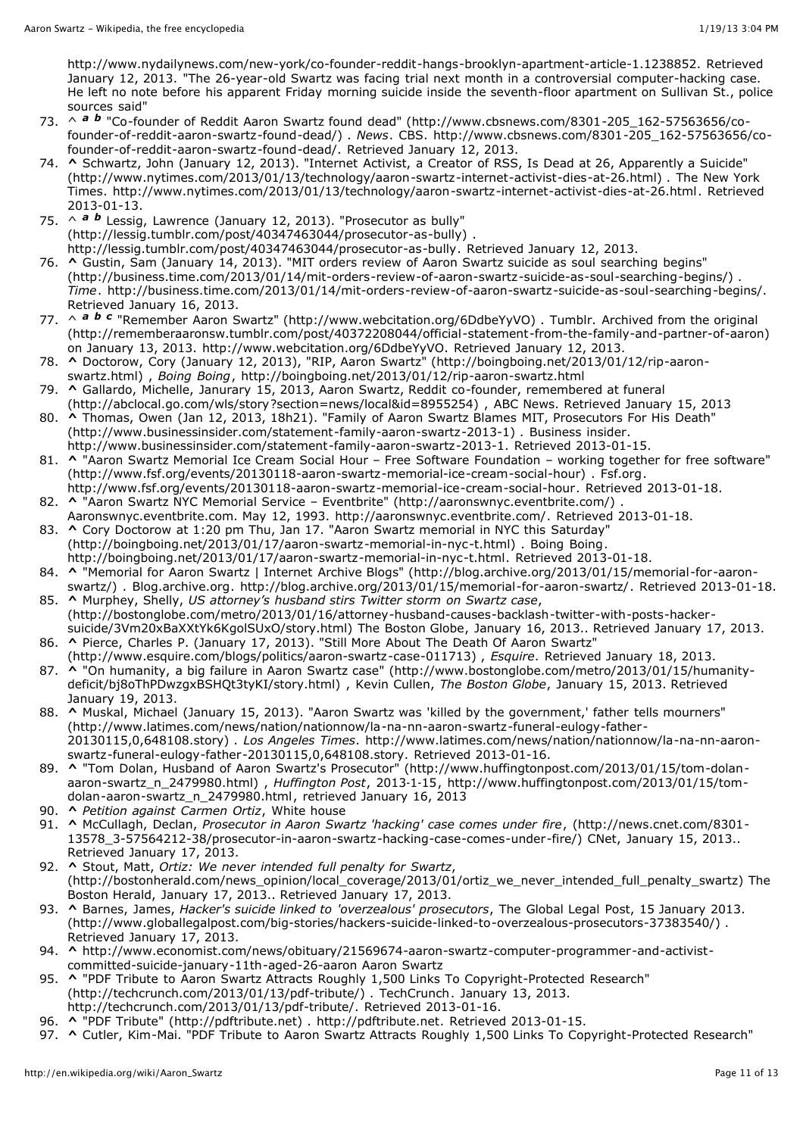<http://www.nydailynews.com/new-york/co-founder-reddit-hangs-brooklyn-apartment-article-1.1238852>. Retrieved January 12, 2013. "The 26-year-old Swartz was facing trial next month in a controversial computer-hacking case. He left no note before his apparent Friday morning suicide inside the seventh-floor apartment on Sullivan St., police sources said"

- 73. ^ *[a](http://en.wikipedia.org/wiki/Aaron_Swartz#cite_ref-CBS_20120112_73-0) [b](http://en.wikipedia.org/wiki/Aaron_Swartz#cite_ref-CBS_20120112_73-1)* "Co-founder of Reddit Aaron Swartz found dead" [\(http://www.cbsnews.com/8301-205\\_162-57563656/co](http://www.cbsnews.com/8301-205_162-57563656/co-founder-of-reddit-aaron-swartz-found-dead/)founder-of-reddit-aaron-swartz-found-dead/) . *News*. CBS. [http://www.cbsnews.com/8301-205\\_162-57563656/co](http://www.cbsnews.com/8301-205_162-57563656/co-founder-of-reddit-aaron-swartz-found-dead/)founder-of-reddit-aaron-swartz-found-dead/. Retrieved January 12, 2013.
- 74. **[^](http://en.wikipedia.org/wiki/Aaron_Swartz#cite_ref-NYT2013_74-0)** Schwartz, John (January 12, 2013). "Internet Activist, a Creator of RSS, Is Dead at 26, Apparently a Suicide" [\(http://www.nytimes.com/2013/01/13/technology/aaron-swartz-internet-activist-dies-at-26.html\) .](http://www.nytimes.com/2013/01/13/technology/aaron-swartz-internet-activist-dies-at-26.html) The New York Times. <http://www.nytimes.com/2013/01/13/technology/aaron-swartz-internet-activist-dies-at-26.html>. Retrieved 2013-01-13.
- 75. ^ *[a](http://en.wikipedia.org/wiki/Aaron_Swartz#cite_ref-lessig-obituary_75-0) [b](http://en.wikipedia.org/wiki/Aaron_Swartz#cite_ref-lessig-obituary_75-1)* Lessig, Lawrence (January 12, 2013). "Prosecutor as bully" [\(http://lessig.tumblr.com/post/40347463044/prosecutor-as-bully\)](http://lessig.tumblr.com/post/40347463044/prosecutor-as-bully) . [http://lessig.tumblr.com/post/40347463044/prosecutor-as-bully.](http://lessig.tumblr.com/post/40347463044/prosecutor-as-bully) Retrieved January 12, 2013.
- 76. **[^](http://en.wikipedia.org/wiki/Aaron_Swartz#cite_ref-76)** Gustin, Sam (January 14, 2013). "MIT orders review of Aaron Swartz suicide as soul searching begins" [\(http://business.time.com/2013/01/14/mit-orders-review-of-aaron-swartz-suicide-as-soul-searching-begins/\)](http://business.time.com/2013/01/14/mit-orders-review-of-aaron-swartz-suicide-as-soul-searching-begins/) . *Time*. <http://business.time.com/2013/01/14/mit-orders-review-of-aaron-swartz-suicide-as-soul-searching-begins/>. Retrieved January 16, 2013.
- 77. ^ *[a](http://en.wikipedia.org/wiki/Aaron_Swartz#cite_ref-remember_77-0) [b](http://en.wikipedia.org/wiki/Aaron_Swartz#cite_ref-remember_77-1) [c](http://en.wikipedia.org/wiki/Aaron_Swartz#cite_ref-remember_77-2)* "Remember Aaron Swartz" [\(http://www.webcitation.org/6DdbeYyVO\)](http://www.webcitation.org/6DdbeYyVO) . Tumblr. Archived from the original [\(http://rememberaaronsw.tumblr.com/post/40372208044/official-statement-from-the-family-and-partner-of-aaron\)](http://rememberaaronsw.tumblr.com/post/40372208044/official-statement-from-the-family-and-partner-of-aaron) on January 13, 2013. <http://www.webcitation.org/6DdbeYyVO>. Retrieved January 12, 2013.
- 78. **[^](http://en.wikipedia.org/wiki/Aaron_Swartz#cite_ref-78)** Doctorow, Cory (January 12, 2013), "RIP, Aaron Swartz" (http://boingboing.net/2013/01/12/rip-aaronswartz.html) , *Boing Boing*, <http://boingboing.net/2013/01/12/rip-aaron-swartz.html>
- 79. **[^](http://en.wikipedia.org/wiki/Aaron_Swartz#cite_ref-79)** Gallardo, Michelle, Janurary 15, 2013, Aaron Swartz, Reddit co-founder, remembered at funeral [\(http://abclocal.go.com/wls/story?section=news/local&id=8955254\)](http://abclocal.go.com/wls/story?section=news/local&id=8955254) , ABC News. Retrieved January 15, 2013
- 80. **[^](http://en.wikipedia.org/wiki/Aaron_Swartz#cite_ref-80)** Thomas, Owen (Jan 12, 2013, 18h21). "Family of Aaron Swartz Blames MIT, Prosecutors For His Death" [\(http://www.businessinsider.com/statement-family-aaron-swartz-2013-1\)](http://www.businessinsider.com/statement-family-aaron-swartz-2013-1) . Business insider. [http://www.businessinsider.com/statement-family-aaron-swartz-2013-1.](http://www.businessinsider.com/statement-family-aaron-swartz-2013-1) Retrieved 2013-01-15.
- 81. **[^](http://en.wikipedia.org/wiki/Aaron_Swartz#cite_ref-81) "Aaron Swartz Memorial Ice Cream Social Hour Free Software Foundation working together for free software"** [\(http://www.fsf.org/events/20130118-aaron-swartz-memorial-ice-cream-social-hour\)](http://www.fsf.org/events/20130118-aaron-swartz-memorial-ice-cream-social-hour) . Fsf.org.
- [http://www.fsf.org/events/20130118-aaron-swartz-memorial-ice-cream-social-hour.](http://www.fsf.org/events/20130118-aaron-swartz-memorial-ice-cream-social-hour) Retrieved 2013-01-18.
- 82. **[^](http://en.wikipedia.org/wiki/Aaron_Swartz#cite_ref-82)** "Aaron Swartz NYC Memorial Service Eventbrite" [\(http://aaronswnyc.eventbrite.com/\)](http://aaronswnyc.eventbrite.com/) Aaronswnyc.eventbrite.com. May 12, 1993. <http://aaronswnyc.eventbrite.com/>. Retrieved 2013-01-18.
- 83. **[^](http://en.wikipedia.org/wiki/Aaron_Swartz#cite_ref-83)** Cory Doctorow at 1:20 pm Thu, Jan 17. "Aaron Swartz memorial in NYC this Saturday" [\(http://boingboing.net/2013/01/17/aaron-swartz-memorial-in-nyc-t.html\)](http://boingboing.net/2013/01/17/aaron-swartz-memorial-in-nyc-t.html) . Boing Boing. [http://boingboing.net/2013/01/17/aaron-swartz-memorial-in-nyc-t.html.](http://boingboing.net/2013/01/17/aaron-swartz-memorial-in-nyc-t.html) Retrieved 2013-01-18.
- 84. **[^](http://en.wikipedia.org/wiki/Aaron_Swartz#cite_ref-84)** "Memorial for Aaron Swartz | Internet Archive Blogs" (http://blog.archive.org/2013/01/15/memorial-for-aaronswartz/) . Blog.archive.org. [http://blog.archive.org/2013/01/15/memorial-for-aaron-swartz/.](http://blog.archive.org/2013/01/15/memorial-for-aaron-swartz/) Retrieved 2013-01-18.
- 85. **[^](http://en.wikipedia.org/wiki/Aaron_Swartz#cite_ref-85)** Murphey, Shelly, *US attorney's husband stirs Twitter storm on Swartz case*, [\(http://bostonglobe.com/metro/2013/01/16/attorney-husband-causes-backlash-twitter-with-posts-hacker](http://bostonglobe.com/metro/2013/01/16/attorney-husband-causes-backlash-twitter-with-posts-hacker-suicide/3Vm20xBaXXtYk6KgolSUxO/story.html)suicide/3Vm20xBaXXtYk6KgolSUxO/story.html) The [Boston](http://en.wikipedia.org/wiki/The_Boston_Globe) Globe, January 16, 2013.. Retrieved January 17, 2013.
- 86. **[^](http://en.wikipedia.org/wiki/Aaron_Swartz#cite_ref-86)** Pierce, Charles P. (January 17, 2013). "Still More About The Death Of Aaron Swartz" [\(http://www.esquire.com/blogs/politics/aaron-swartz-case-011713\)](http://www.esquire.com/blogs/politics/aaron-swartz-case-011713) , *[Esquire](http://en.wikipedia.org/wiki/Esquire)*. Retrieved January 18, 2013.
- 87. **[^](http://en.wikipedia.org/wiki/Aaron_Swartz#cite_ref-87)** "On humanity, a big failure in Aaron Swartz case" [\(http://www.bostonglobe.com/metro/2013/01/15/humanity](http://www.bostonglobe.com/metro/2013/01/15/humanity-deficit/bj8oThPDwzgxBSHQt3tyKI/story.html)deficit/bj8oThPDwzgxBSHQt3tyKI/story.html) , Kevin Cullen, *The [Boston](http://en.wikipedia.org/wiki/The_Boston_Globe) Globe*, January 15, 2013. Retrieved January 19, 2013.
- 88. **[^](http://en.wikipedia.org/wiki/Aaron_Swartz#cite_ref-LAT20130115_88-0)** Muskal, Michael (January 15, 2013). "Aaron Swartz was 'killed by the government,' father tells mourners" [\(http://www.latimes.com/news/nation/nationnow/la-na-nn-aaron-swartz-funeral-eulogy-father-](http://www.latimes.com/news/nation/nationnow/la-na-nn-aaron-swartz-funeral-eulogy-father-20130115,0,648108.story)20130115,0,648108.story) . *Los Angeles Times*. [http://www.latimes.com/news/nation/nationnow/la-na-nn-aaron](http://www.latimes.com/news/nation/nationnow/la-na-nn-aaron-swartz-funeral-eulogy-father-20130115,0,648108.story)swartz-funeral-eulogy-father-20130115,0,648108.story. Retrieved 2013-01-16.
- 89. **[^](http://en.wikipedia.org/wiki/Aaron_Swartz#cite_ref-89)** "Tom Dolan, Husband of Aaron Swartz's Prosecutor" [\(http://www.huffingtonpost.com/2013/01/15/tom-dolan](http://www.huffingtonpost.com/2013/01/15/tom-dolan-aaron-swartz_n_2479980.html)aaron-swartz\_n\_2479980.html) , *Huffington Post*, 2013‐1‐15, [http://www.huffingtonpost.com/2013/01/15/tom](http://www.huffingtonpost.com/2013/01/15/tom-dolan-aaron-swartz_n_2479980.html)dolan-aaron-swartz\_n\_2479980.html, retrieved January 16, 2013
- 90. **[^](http://en.wikipedia.org/wiki/Aaron_Swartz#cite_ref-90)** *Petition against Carmen Ortiz*, White house
- 91. **[^](http://en.wikipedia.org/wiki/Aaron_Swartz#cite_ref-91)** McCullagh, Declan, *Prosecutor in Aaron Swartz 'hacking' case comes under fire*, (http://news.cnet.com/8301- [13578\\_3-57564212-38/prosecutor-in-aaron-swartz-hacking-case-comes-under-fire/\)](http://news.cnet.com/8301-13578_3-57564212-38/prosecutor-in-aaron-swartz-hacking-case-comes-under-fire/) [CNet](http://en.wikipedia.org/wiki/CNet), January 15, 2013.. Retrieved January 17, 2013.
- 92. **[^](http://en.wikipedia.org/wiki/Aaron_Swartz#cite_ref-92)** Stout, Matt, *Ortiz: We never intended full penalty for Swartz*, [\(http://bostonherald.com/news\\_opinion/local\\_coverage/2013/01/ortiz\\_we\\_never\\_intended\\_full\\_penalty\\_swartz\)](http://bostonherald.com/news_opinion/local_coverage/2013/01/ortiz_we_never_intended_full_penalty_swartz) The Boston Herald, January 17, 2013.. Retrieved January 17, 2013.
- 93. **[^](http://en.wikipedia.org/wiki/Aaron_Swartz#cite_ref-93)** Barnes, James, *Hacker's suicide linked to 'overzealous' prosecutors*, The Global Legal Post, 15 January 2013. [\(http://www.globallegalpost.com/big-stories/hackers-suicide-linked-to-overzealous-prosecutors-37383540/\)](http://www.globallegalpost.com/big-stories/hackers-suicide-linked-to-overzealous-prosecutors-37383540/) . Retrieved January 17, 2013.
- 94. **[^](http://en.wikipedia.org/wiki/Aaron_Swartz#cite_ref-94)** [http://www.economist.com/news/obituary/21569674-aaron-swartz-computer-programmer-and-activist](http://www.economist.com/news/obituary/21569674-aaron-swartz-computer-programmer-and-activist-committed-suicide-january-11th-aged-26-aaron)committed-suicide-january-11th-aged-26-aaron Aaron Swartz
- 95. **[^](http://en.wikipedia.org/wiki/Aaron_Swartz#cite_ref-95)** "PDF Tribute to Aaron Swartz Attracts Roughly 1,500 Links To Copyright-Protected Research" [\(http://techcrunch.com/2013/01/13/pdf-tribute/\)](http://techcrunch.com/2013/01/13/pdf-tribute/) . [TechCrunch.](http://en.wikipedia.org/wiki/TechCrunch) January 13, 2013. [http://techcrunch.com/2013/01/13/pdf-tribute/.](http://techcrunch.com/2013/01/13/pdf-tribute/) Retrieved 2013-01-16.
- 96. **[^](http://en.wikipedia.org/wiki/Aaron_Swartz#cite_ref-96)** "PDF Tribute" [\(http://pdftribute.net\)](http://pdftribute.net/) . [http://pdftribute.net.](http://pdftribute.net/) Retrieved 2013-01-15.
- 97. **[^](http://en.wikipedia.org/wiki/Aaron_Swartz#cite_ref-97)** Cutler, Kim-Mai. "PDF Tribute to Aaron Swartz Attracts Roughly 1,500 Links To [Copyright-Protected](http://techcrunch.com/2013/01/13/pdf-tribute/) Research"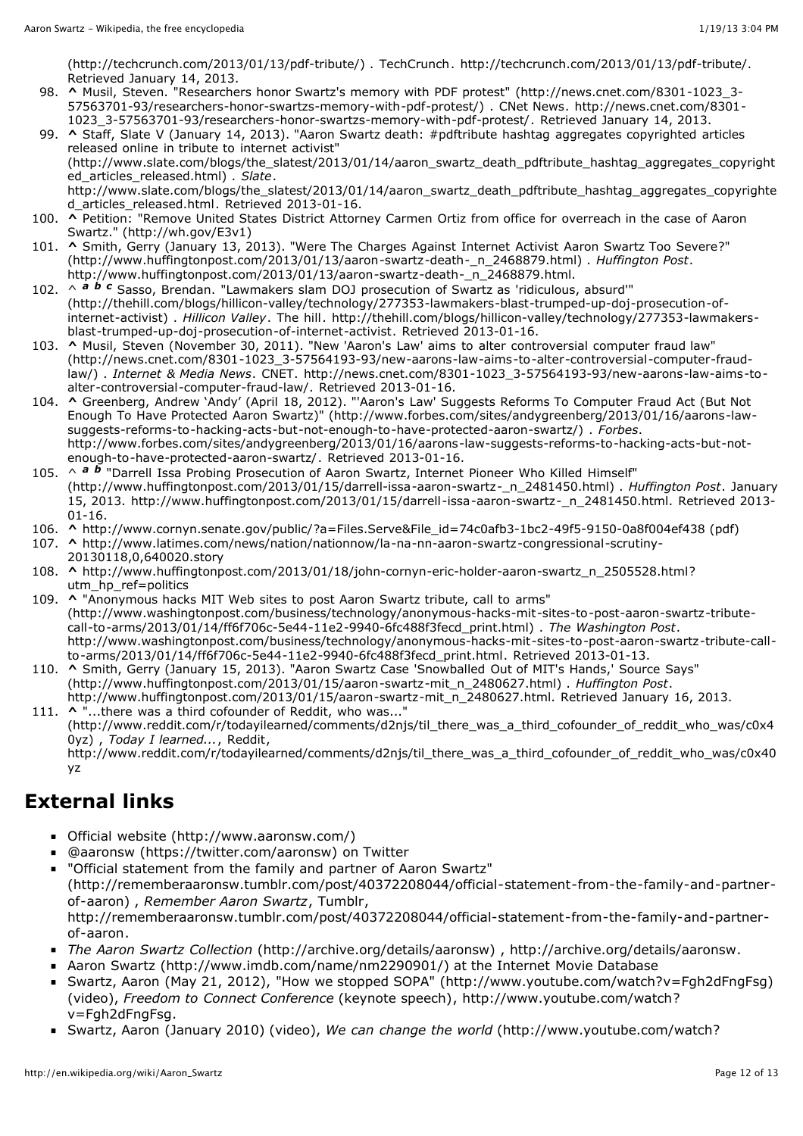[\(http://techcrunch.com/2013/01/13/pdf-tribute/\)](http://techcrunch.com/2013/01/13/pdf-tribute/) . [TechCrunch.](http://en.wikipedia.org/wiki/TechCrunch) [http://techcrunch.com/2013/01/13/pdf-tribute/.](http://techcrunch.com/2013/01/13/pdf-tribute/) Retrieved January 14, 2013.

- 98. **[^](http://en.wikipedia.org/wiki/Aaron_Swartz#cite_ref-98)** Musil, Steven. "Researchers honor Swartz's memory with PDF protest" (http://news.cnet.com/8301-1023\_3- [57563701-93/researchers-honor-swartzs-memory-with-pdf-protest/\)](http://news.cnet.com/8301-1023_3-57563701-93/researchers-honor-swartzs-memory-with-pdf-protest/) . CNet [News.](http://en.wikipedia.org/wiki/CNet_News) http://news.cnet.com/8301- [1023\\_3-57563701-93/researchers-honor-swartzs-memory-with-pdf-protest/.](http://news.cnet.com/8301-1023_3-57563701-93/researchers-honor-swartzs-memory-with-pdf-protest/) Retrieved January 14, 2013.
- 99. **[^](http://en.wikipedia.org/wiki/Aaron_Swartz#cite_ref-99)** Staff, Slate V (January 14, 2013). "Aaron Swartz death: #pdftribute hashtag aggregates copyrighted articles released online in tribute to internet activist" [\(http://www.slate.com/blogs/the\\_slatest/2013/01/14/aaron\\_swartz\\_death\\_pdftribute\\_hashtag\\_aggregates\\_copyright](http://www.slate.com/blogs/the_slatest/2013/01/14/aaron_swartz_death_pdftribute_hashtag_aggregates_copyrighted_articles_released.html) ed\_articles\_released.html) . *Slate*. [http://www.slate.com/blogs/the\\_slatest/2013/01/14/aaron\\_swartz\\_death\\_pdftribute\\_hashtag\\_aggregates\\_copyrighte](http://www.slate.com/blogs/the_slatest/2013/01/14/aaron_swartz_death_pdftribute_hashtag_aggregates_copyrighted_articles_released.html) d\_articles\_released.html. Retrieved 2013-01-16.
- 100. **[^](http://en.wikipedia.org/wiki/Aaron_Swartz#cite_ref-100)** Petition: "Remove United States District Attorney Carmen Ortiz from office for overreach in the case of Aaron Swartz." [\(http://wh.gov/E3v1\)](http://wh.gov/E3v1)
- 101. **[^](http://en.wikipedia.org/wiki/Aaron_Swartz#cite_ref-101)** Smith, Gerry (January 13, 2013). "Were The Charges Against Internet Activist Aaron Swartz Too Severe?" [\(http://www.huffingtonpost.com/2013/01/13/aaron-swartz-death-\\_n\\_2468879.html\)](http://www.huffingtonpost.com/2013/01/13/aaron-swartz-death-_n_2468879.html) . *Huffington Post*. [http://www.huffingtonpost.com/2013/01/13/aaron-swartz-death-\\_n\\_2468879.html](http://www.huffingtonpost.com/2013/01/13/aaron-swartz-death-_n_2468879.html).
- 102. ^ *[a](http://en.wikipedia.org/wiki/Aaron_Swartz#cite_ref-Hill_102-0) [b](http://en.wikipedia.org/wiki/Aaron_Swartz#cite_ref-Hill_102-1) [c](http://en.wikipedia.org/wiki/Aaron_Swartz#cite_ref-Hill_102-2)* Sasso, Brendan. "Lawmakers slam DOJ prosecution of Swartz as 'ridiculous, absurd'" [\(http://thehill.com/blogs/hillicon-valley/technology/277353-lawmakers-blast-trumped-up-doj-prosecution-of](http://thehill.com/blogs/hillicon-valley/technology/277353-lawmakers-blast-trumped-up-doj-prosecution-of-internet-activist)internet-activist) . *Hillicon Valley*. [The](http://en.wikipedia.org/wiki/Thehill.com) hill. [http://thehill.com/blogs/hillicon-valley/technology/277353-lawmakers](http://thehill.com/blogs/hillicon-valley/technology/277353-lawmakers-blast-trumped-up-doj-prosecution-of-internet-activist)blast-trumped-up-doj-prosecution-of-internet-activist. Retrieved 2013-01-16.
- 103. **[^](http://en.wikipedia.org/wiki/Aaron_Swartz#cite_ref-103)** Musil, Steven (November 30, 2011). "New 'Aaron's Law' aims to alter controversial computer fraud law" [\(http://news.cnet.com/8301-1023\\_3-57564193-93/new-aarons-law-aims-to-alter-controversial-computer-fraud](http://news.cnet.com/8301-1023_3-57564193-93/new-aarons-law-aims-to-alter-controversial-computer-fraud-law/)law/) . *Internet & Media News*. CNET. [http://news.cnet.com/8301-1023\\_3-57564193-93/new-aarons-law-aims-to](http://news.cnet.com/8301-1023_3-57564193-93/new-aarons-law-aims-to-alter-controversial-computer-fraud-law/)alter-controversial-computer-fraud-law/. Retrieved 2013-01-16.
- 104. **[^](http://en.wikipedia.org/wiki/Aaron_Swartz#cite_ref-104)** Greenberg, Andrew 'Andy' (April 18, 2012). "'Aaron's Law' Suggests Reforms To Computer Fraud Act (But Not Enough To Have Protected Aaron Swartz)" (http://www.forbes.com/sites/andygreenberg/2013/01/16/aarons-law[suggests-reforms-to-hacking-acts-but-not-enough-to-have-protected-aaron-swartz/\)](http://www.forbes.com/sites/andygreenberg/2013/01/16/aarons-law-suggests-reforms-to-hacking-acts-but-not-enough-to-have-protected-aaron-swartz/) . *[Forbes](http://en.wikipedia.org/wiki/Forbes)*. [http://www.forbes.com/sites/andygreenberg/2013/01/16/aarons-law-suggests-reforms-to-hacking-acts-but-not](http://www.forbes.com/sites/andygreenberg/2013/01/16/aarons-law-suggests-reforms-to-hacking-acts-but-not-enough-to-have-protected-aaron-swartz/)enough-to-have-protected-aaron-swartz/. Retrieved 2013-01-16.
- 105. ^ *[a](http://en.wikipedia.org/wiki/Aaron_Swartz#cite_ref-Huffington.2C_15-01-13_105-0) [b](http://en.wikipedia.org/wiki/Aaron_Swartz#cite_ref-Huffington.2C_15-01-13_105-1)* "Darrell Issa Probing Prosecution of Aaron Swartz, Internet Pioneer Who Killed Himself" [\(http://www.huffingtonpost.com/2013/01/15/darrell-issa-aaron-swartz-\\_n\\_2481450.html\)](http://www.huffingtonpost.com/2013/01/15/darrell-issa-aaron-swartz-_n_2481450.html) . *Huffington Post*. January 15, 2013. [http://www.huffingtonpost.com/2013/01/15/darrell-issa-aaron-swartz-\\_n\\_2481450.html](http://www.huffingtonpost.com/2013/01/15/darrell-issa-aaron-swartz-_n_2481450.html). Retrieved 2013- 01-16.
- 106. **[^](http://en.wikipedia.org/wiki/Aaron_Swartz#cite_ref-106)** [http://www.cornyn.senate.gov/public/?a=Files.Serve&File\\_id=74c0afb3-1bc2-49f5-9150-0a8f004ef438](http://www.cornyn.senate.gov/public/?a=Files.Serve&File_id=74c0afb3-1bc2-49f5-9150-0a8f004ef438) (pdf)
- 107. **[^](http://en.wikipedia.org/wiki/Aaron_Swartz#cite_ref-107)** [http://www.latimes.com/news/nation/nationnow/la-na-nn-aaron-swartz-congressional-scrutiny-](http://www.latimes.com/news/nation/nationnow/la-na-nn-aaron-swartz-congressional-scrutiny-20130118,0,640020.story)20130118,0,640020.story
- 108. **[^](http://en.wikipedia.org/wiki/Aaron_Swartz#cite_ref-108)** [http://www.huffingtonpost.com/2013/01/18/john-cornyn-eric-holder-aaron-swartz\\_n\\_2505528.html?](http://www.huffingtonpost.com/2013/01/18/john-cornyn-eric-holder-aaron-swartz_n_2505528.html?utm_hp_ref=politics) utm\_hp\_ref=politics
- 109. **[^](http://en.wikipedia.org/wiki/Aaron_Swartz#cite_ref-109)** "Anonymous hacks MIT Web sites to post Aaron Swartz tribute, call to arms" [\(http://www.washingtonpost.com/business/technology/anonymous-hacks-mit-sites-to-post-aaron-swartz-tribute](http://www.washingtonpost.com/business/technology/anonymous-hacks-mit-sites-to-post-aaron-swartz-tribute-call-to-arms/2013/01/14/ff6f706c-5e44-11e2-9940-6fc488f3fecd_print.html)call-to-arms/2013/01/14/ff6f706c-5e44-11e2-9940-6fc488f3fecd\_print.html) . *The Washington Post*. [http://www.washingtonpost.com/business/technology/anonymous-hacks-mit-sites-to-post-aaron-swartz-tribute-call](http://www.washingtonpost.com/business/technology/anonymous-hacks-mit-sites-to-post-aaron-swartz-tribute-call-to-arms/2013/01/14/ff6f706c-5e44-11e2-9940-6fc488f3fecd_print.html)to-arms/2013/01/14/ff6f706c-5e44-11e2-9940-6fc488f3fecd\_print.html. Retrieved 2013-01-13.
- 110. **[^](http://en.wikipedia.org/wiki/Aaron_Swartz#cite_ref-110)** Smith, Gerry (January 15, 2013). "Aaron Swartz Case 'Snowballed Out of MIT's Hands,' Source Says" [\(http://www.huffingtonpost.com/2013/01/15/aaron-swartz-mit\\_n\\_2480627.html\)](http://www.huffingtonpost.com/2013/01/15/aaron-swartz-mit_n_2480627.html) . *Huffington Post*. [http://www.huffingtonpost.com/2013/01/15/aaron-swartz-mit\\_n\\_2480627.html](http://www.huffingtonpost.com/2013/01/15/aaron-swartz-mit_n_2480627.html). Retrieved January 16, 2013.
- 111. **[^](http://en.wikipedia.org/wiki/Aaron_Swartz#cite_ref-111)** "...there was a third cofounder of Reddit, who was..." [\(http://www.reddit.com/r/todayilearned/comments/d2njs/til\\_there\\_was\\_a\\_third\\_cofounder\\_of\\_reddit\\_who\\_was/c0x4](http://www.reddit.com/r/todayilearned/comments/d2njs/til_there_was_a_third_cofounder_of_reddit_who_was/c0x40yz) 0yz) , *Today I learned...*, Reddit, http://www.reddit.com/r/todayilearned/comments/d2nis/til\_there\_was\_a\_third\_cofounder\_of\_reddit\_who\_was/c0x40 yz

# **External links**

- Official website [\(http://www.aaronsw.com/\)](http://www.aaronsw.com/)
- @aaronsw [\(https://twitter.com/aaronsw\)](https://twitter.com/aaronsw) on [Twitter](http://en.wikipedia.org/wiki/Twitter)
- "Official statement from the family and partner of Aaron Swartz"  $\sim$ [\(http://rememberaaronsw.tumblr.com/post/40372208044/official-statement-from-the-family-and-partner](http://rememberaaronsw.tumblr.com/post/40372208044/official-statement-from-the-family-and-partner-of-aaron)of-aaron) , *Remember Aaron Swartz*, Tumblr, [http://rememberaaronsw.tumblr.com/post/40372208044/official-statement-from-the-family-and-partner](http://rememberaaronsw.tumblr.com/post/40372208044/official-statement-from-the-family-and-partner-of-aaron)of-aaron.
- *The Aaron Swartz Collection* [\(http://archive.org/details/aaronsw\)](http://archive.org/details/aaronsw) , [http://archive.org/details/aaronsw.](http://archive.org/details/aaronsw)
- Aaron Swartz [\(http://www.imdb.com/name/nm2290901/\)](http://www.imdb.com/name/nm2290901/) at the Internet Movie [Database](http://en.wikipedia.org/wiki/Internet_Movie_Database)
- Swartz, Aaron (May 21, 2012), "How we stopped SOPA" [\(http://www.youtube.com/watch?v=Fgh2dFngFsg\)](http://www.youtube.com/watch?v=Fgh2dFngFsg) (video), *Freedom to Connect Conference* (keynote speech), [http://www.youtube.com/watch?](http://www.youtube.com/watch?v=Fgh2dFngFsg) v=Fgh2dFngFsg.
- Swartz, Aaron (January 2010) (video), *We can change the world* [\(http://www.youtube.com/watch?](http://www.youtube.com/watch?v=JUt5gjqNI1w)